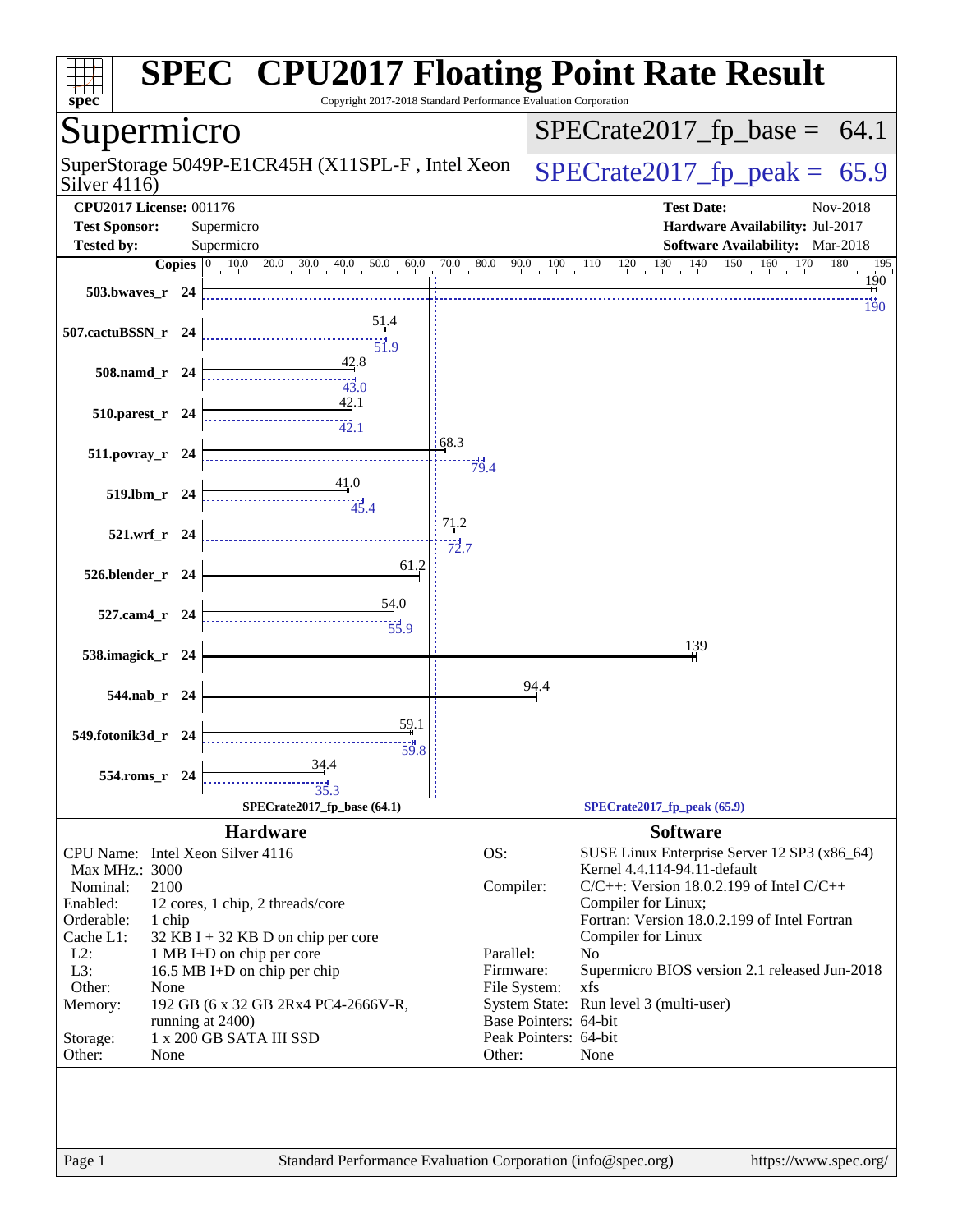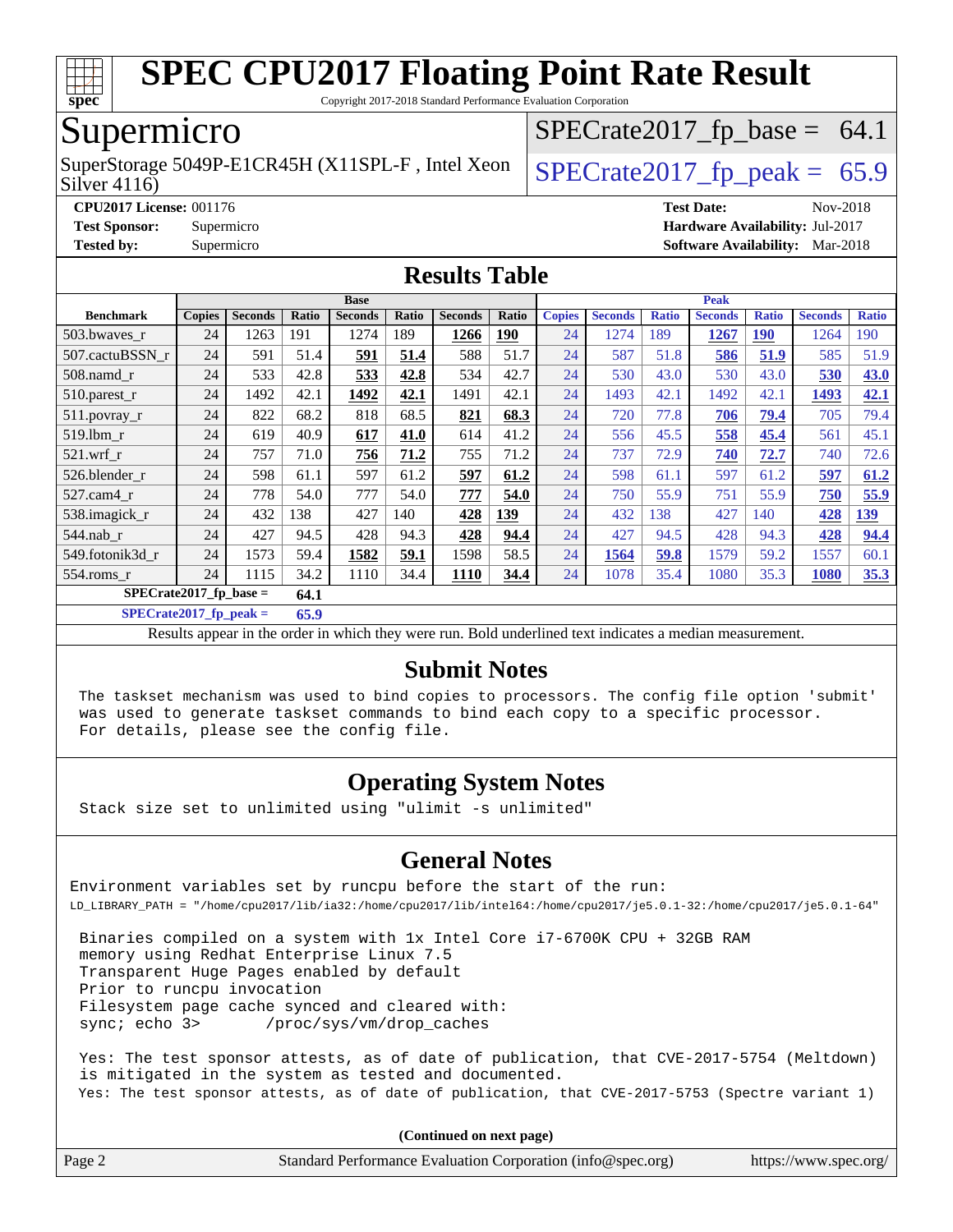

Copyright 2017-2018 Standard Performance Evaluation Corporation

## Supermicro

Silver 4116) SuperStorage 5049P-E1CR45H (X11SPL-F, Intel Xeon  $\left|$  [SPECrate2017\\_fp\\_peak =](http://www.spec.org/auto/cpu2017/Docs/result-fields.html#SPECrate2017fppeak) 65.9

 $SPECTate2017_fp\_base = 64.1$ 

**[CPU2017 License:](http://www.spec.org/auto/cpu2017/Docs/result-fields.html#CPU2017License)** 001176 **[Test Date:](http://www.spec.org/auto/cpu2017/Docs/result-fields.html#TestDate)** Nov-2018 **[Test Sponsor:](http://www.spec.org/auto/cpu2017/Docs/result-fields.html#TestSponsor)** Supermicro **[Hardware Availability:](http://www.spec.org/auto/cpu2017/Docs/result-fields.html#HardwareAvailability)** Jul-2017 **[Tested by:](http://www.spec.org/auto/cpu2017/Docs/result-fields.html#Testedby)** Supermicro **[Software Availability:](http://www.spec.org/auto/cpu2017/Docs/result-fields.html#SoftwareAvailability)** Mar-2018

#### **[Results Table](http://www.spec.org/auto/cpu2017/Docs/result-fields.html#ResultsTable)**

|                                  | <b>Base</b>   |                |       |                |       | <b>Peak</b>    |            |               |                |              |                |              |                |              |
|----------------------------------|---------------|----------------|-------|----------------|-------|----------------|------------|---------------|----------------|--------------|----------------|--------------|----------------|--------------|
| <b>Benchmark</b>                 | <b>Copies</b> | <b>Seconds</b> | Ratio | <b>Seconds</b> | Ratio | <b>Seconds</b> | Ratio      | <b>Copies</b> | <b>Seconds</b> | <b>Ratio</b> | <b>Seconds</b> | <b>Ratio</b> | <b>Seconds</b> | <b>Ratio</b> |
| 503.bwaves_r                     | 24            | 1263           | 191   | 1274           | 189   | 1266           | <b>190</b> | 24            | 1274           | 189          | 1267           | <b>190</b>   | 1264           | 190          |
| 507.cactuBSSN r                  | 24            | 591            | 51.4  | 591            | 51.4  | 588            | 51.7       | 24            | 587            | 51.8         | 586            | 51.9         | 585            | 51.9         |
| $508$ .namd $r$                  | 24            | 533            | 42.8  | 533            | 42.8  | 534            | 42.7       | 24            | 530            | 43.0         | 530            | 43.0         | 530            | 43.0         |
| $510.parest_r$                   | 24            | 1492           | 42.1  | 1492           | 42.1  | 1491           | 42.1       | 24            | 1493           | 42.1         | 1492           | 42.1         | 1493           | 42.1         |
| 511.povray_r                     | 24            | 822            | 68.2  | 818            | 68.5  | 821            | 68.3       | 24            | 720            | 77.8         | 706            | 79.4         | 705            | 79.4         |
| 519.lbm r                        | 24            | 619            | 40.9  | 617            | 41.0  | 614            | 41.2       | 24            | 556            | 45.5         | 558            | 45.4         | 561            | 45.1         |
| $521$ .wrf r                     | 24            | 757            | 71.0  | 756            | 71.2  | 755            | 71.2       | 24            | 737            | 72.9         | 740            | 72.7         | 740            | 72.6         |
| 526.blender r                    | 24            | 598            | 61.1  | 597            | 61.2  | 597            | 61.2       | 24            | 598            | 61.1         | 597            | 61.2         | 597            | 61.2         |
| 527.cam4 r                       | 24            | 778            | 54.0  | 777            | 54.0  | 777            | 54.0       | 24            | 750            | 55.9         | 751            | 55.9         | 750            | 55.9         |
| 538.imagick_r                    | 24            | 432            | 138   | 427            | 140   | 428            | <b>139</b> | 24            | 432            | 138          | 427            | 140          | 428            | <u>139</u>   |
| $544$ .nab_r                     | 24            | 427            | 94.5  | 428            | 94.3  | 428            | 94.4       | 24            | 427            | 94.5         | 428            | 94.3         | 428            | 94.4         |
| 549.fotonik3d r                  | 24            | 1573           | 59.4  | 1582           | 59.1  | 1598           | 58.5       | 24            | 1564           | 59.8         | 1579           | 59.2         | 1557           | 60.1         |
| $554$ .roms r                    | 24            | 1115           | 34.2  | 1110           | 34.4  | <b>1110</b>    | 34.4       | 24            | 1078           | 35.4         | 1080           | 35.3         | <b>1080</b>    | 35.3         |
| $SPECrate2017$ fp base =<br>64.1 |               |                |       |                |       |                |            |               |                |              |                |              |                |              |

**[SPECrate2017\\_fp\\_peak =](http://www.spec.org/auto/cpu2017/Docs/result-fields.html#SPECrate2017fppeak) 65.9**

Results appear in the [order in which they were run.](http://www.spec.org/auto/cpu2017/Docs/result-fields.html#RunOrder) Bold underlined text [indicates a median measurement.](http://www.spec.org/auto/cpu2017/Docs/result-fields.html#Median)

#### **[Submit Notes](http://www.spec.org/auto/cpu2017/Docs/result-fields.html#SubmitNotes)**

 The taskset mechanism was used to bind copies to processors. The config file option 'submit' was used to generate taskset commands to bind each copy to a specific processor. For details, please see the config file.

#### **[Operating System Notes](http://www.spec.org/auto/cpu2017/Docs/result-fields.html#OperatingSystemNotes)**

Stack size set to unlimited using "ulimit -s unlimited"

#### **[General Notes](http://www.spec.org/auto/cpu2017/Docs/result-fields.html#GeneralNotes)**

Environment variables set by runcpu before the start of the run: LD\_LIBRARY\_PATH = "/home/cpu2017/lib/ia32:/home/cpu2017/lib/intel64:/home/cpu2017/je5.0.1-32:/home/cpu2017/je5.0.1-64"

 Binaries compiled on a system with 1x Intel Core i7-6700K CPU + 32GB RAM memory using Redhat Enterprise Linux 7.5 Transparent Huge Pages enabled by default Prior to runcpu invocation Filesystem page cache synced and cleared with: sync; echo 3> /proc/sys/vm/drop\_caches

 Yes: The test sponsor attests, as of date of publication, that CVE-2017-5754 (Meltdown) is mitigated in the system as tested and documented. Yes: The test sponsor attests, as of date of publication, that CVE-2017-5753 (Spectre variant 1)

**(Continued on next page)**

| Page 2<br>Standard Performance Evaluation Corporation (info@spec.org)<br>https://www.spec.org/ |
|------------------------------------------------------------------------------------------------|
|------------------------------------------------------------------------------------------------|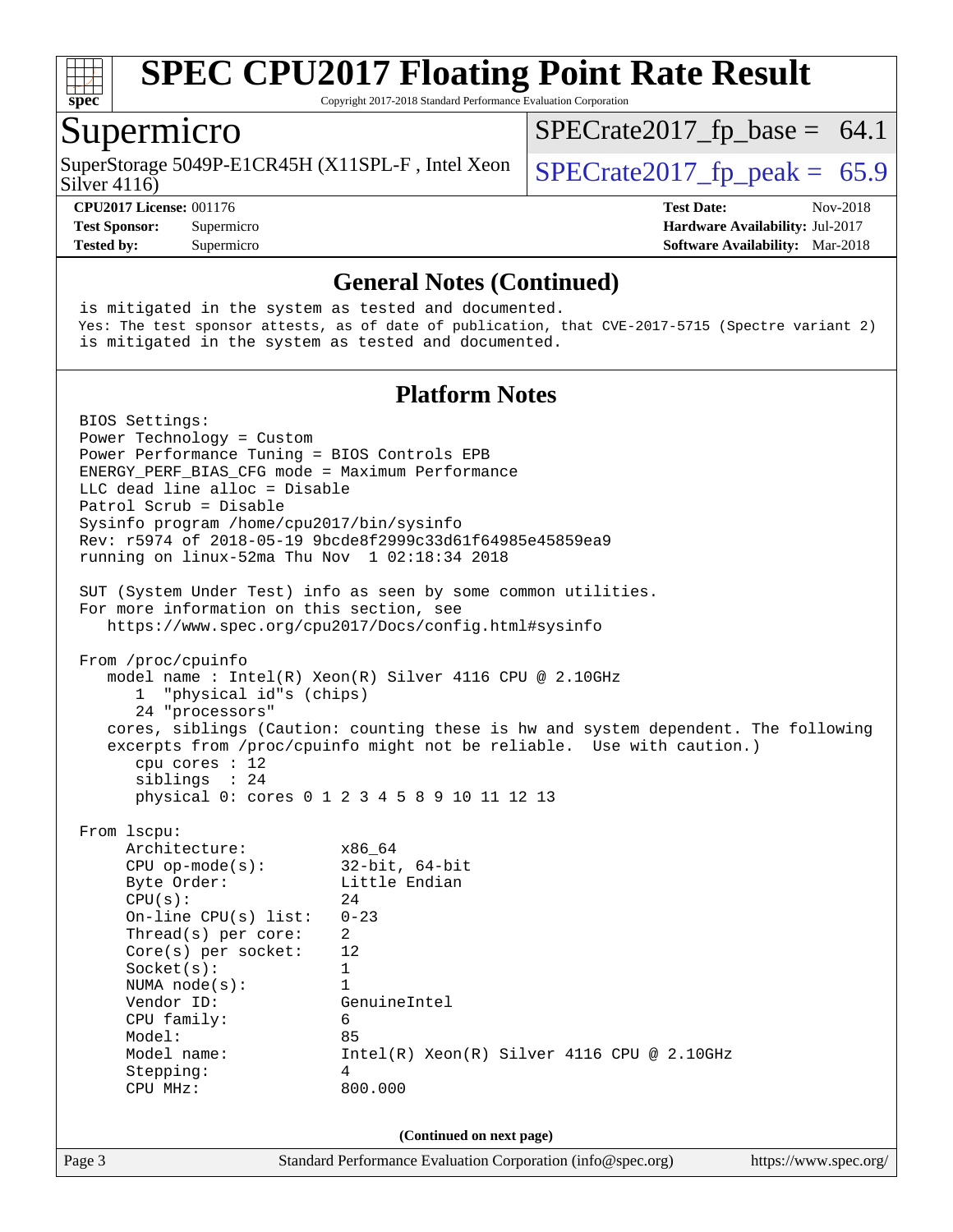

Copyright 2017-2018 Standard Performance Evaluation Corporation

#### Supermicro

Silver 4116) SuperStorage 5049P-E1CR45H (X11SPL-F, Intel Xeon  $\big|$  [SPECrate2017\\_fp\\_peak =](http://www.spec.org/auto/cpu2017/Docs/result-fields.html#SPECrate2017fppeak) 65.9

 $SPECTate2017_fp\_base = 64.1$ 

**[Tested by:](http://www.spec.org/auto/cpu2017/Docs/result-fields.html#Testedby)** Supermicro **[Software Availability:](http://www.spec.org/auto/cpu2017/Docs/result-fields.html#SoftwareAvailability)** Mar-2018

**[CPU2017 License:](http://www.spec.org/auto/cpu2017/Docs/result-fields.html#CPU2017License)** 001176 **[Test Date:](http://www.spec.org/auto/cpu2017/Docs/result-fields.html#TestDate)** Nov-2018 **[Test Sponsor:](http://www.spec.org/auto/cpu2017/Docs/result-fields.html#TestSponsor)** Supermicro **[Hardware Availability:](http://www.spec.org/auto/cpu2017/Docs/result-fields.html#HardwareAvailability)** Jul-2017

Page 3 Standard Performance Evaluation Corporation [\(info@spec.org\)](mailto:info@spec.org) <https://www.spec.org/> **[General Notes \(Continued\)](http://www.spec.org/auto/cpu2017/Docs/result-fields.html#GeneralNotes)** is mitigated in the system as tested and documented. Yes: The test sponsor attests, as of date of publication, that CVE-2017-5715 (Spectre variant 2) is mitigated in the system as tested and documented. **[Platform Notes](http://www.spec.org/auto/cpu2017/Docs/result-fields.html#PlatformNotes)** BIOS Settings: Power Technology = Custom Power Performance Tuning = BIOS Controls EPB ENERGY\_PERF\_BIAS\_CFG mode = Maximum Performance LLC dead line alloc = Disable Patrol Scrub = Disable Sysinfo program /home/cpu2017/bin/sysinfo Rev: r5974 of 2018-05-19 9bcde8f2999c33d61f64985e45859ea9 running on linux-52ma Thu Nov 1 02:18:34 2018 SUT (System Under Test) info as seen by some common utilities. For more information on this section, see <https://www.spec.org/cpu2017/Docs/config.html#sysinfo> From /proc/cpuinfo model name : Intel(R) Xeon(R) Silver 4116 CPU @ 2.10GHz 1 "physical id"s (chips) 24 "processors" cores, siblings (Caution: counting these is hw and system dependent. The following excerpts from /proc/cpuinfo might not be reliable. Use with caution.) cpu cores : 12 siblings : 24 physical 0: cores 0 1 2 3 4 5 8 9 10 11 12 13 From lscpu: Architecture: x86\_64 CPU op-mode(s): 32-bit, 64-bit Byte Order: Little Endian  $CPU(s):$  24 On-line CPU(s) list: 0-23 Thread(s) per core: 2 Core(s) per socket: 12 Socket(s): 1 NUMA node(s): 1 Vendor ID: GenuineIntel CPU family: 6 Model: 85 Model name: Intel(R) Xeon(R) Silver 4116 CPU @ 2.10GHz Stepping: 4 CPU MHz: 800.000 **(Continued on next page)**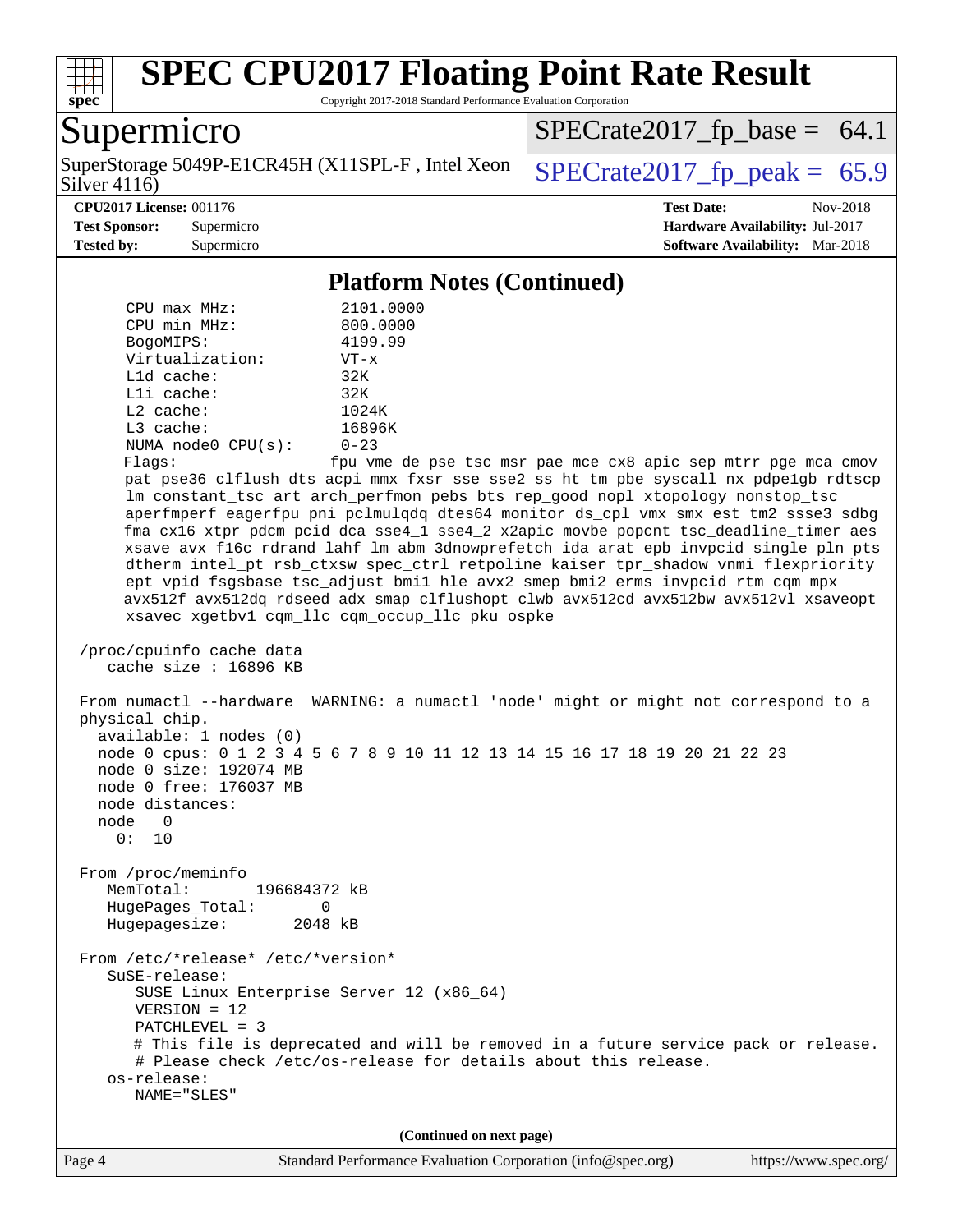

Copyright 2017-2018 Standard Performance Evaluation Corporation

## Supermicro

Silver 4116) SuperStorage 5049P-E1CR45H (X11SPL-F, Intel Xeon  $\vert$  [SPECrate2017\\_fp\\_peak =](http://www.spec.org/auto/cpu2017/Docs/result-fields.html#SPECrate2017fppeak) 65.9

 $SPECTate2017<sub>fp</sub> base = 64.1$ 

#### **[CPU2017 License:](http://www.spec.org/auto/cpu2017/Docs/result-fields.html#CPU2017License)** 001176 **[Test Date:](http://www.spec.org/auto/cpu2017/Docs/result-fields.html#TestDate)** Nov-2018

**[Test Sponsor:](http://www.spec.org/auto/cpu2017/Docs/result-fields.html#TestSponsor)** Supermicro **[Hardware Availability:](http://www.spec.org/auto/cpu2017/Docs/result-fields.html#HardwareAvailability)** Jul-2017 **[Tested by:](http://www.spec.org/auto/cpu2017/Docs/result-fields.html#Testedby)** Supermicro **[Software Availability:](http://www.spec.org/auto/cpu2017/Docs/result-fields.html#SoftwareAvailability)** Mar-2018

#### **[Platform Notes \(Continued\)](http://www.spec.org/auto/cpu2017/Docs/result-fields.html#PlatformNotes)**

 CPU max MHz: 2101.0000 CPU min MHz: 800.0000 BogoMIPS: 4199.99 Virtualization: VT-x L1d cache: 32K L1i cache: 32K L2 cache: 1024K L3 cache: 16896K NUMA node0 CPU(s): 0-23 Flags: fpu vme de pse tsc msr pae mce cx8 apic sep mtrr pge mca cmov pat pse36 clflush dts acpi mmx fxsr sse sse2 ss ht tm pbe syscall nx pdpe1gb rdtscp lm constant\_tsc art arch\_perfmon pebs bts rep\_good nopl xtopology nonstop\_tsc aperfmperf eagerfpu pni pclmulqdq dtes64 monitor ds\_cpl vmx smx est tm2 ssse3 sdbg fma cx16 xtpr pdcm pcid dca sse4\_1 sse4\_2 x2apic movbe popcnt tsc\_deadline\_timer aes xsave avx f16c rdrand lahf\_lm abm 3dnowprefetch ida arat epb invpcid\_single pln pts dtherm intel\_pt rsb\_ctxsw spec\_ctrl retpoline kaiser tpr\_shadow vnmi flexpriority ept vpid fsgsbase tsc\_adjust bmi1 hle avx2 smep bmi2 erms invpcid rtm cqm mpx avx512f avx512dq rdseed adx smap clflushopt clwb avx512cd avx512bw avx512vl xsaveopt xsavec xgetbv1 cqm\_llc cqm\_occup\_llc pku ospke /proc/cpuinfo cache data cache size : 16896 KB From numactl --hardware WARNING: a numactl 'node' might or might not correspond to a physical chip. available: 1 nodes (0) node 0 cpus: 0 1 2 3 4 5 6 7 8 9 10 11 12 13 14 15 16 17 18 19 20 21 22 23 node 0 size: 192074 MB node 0 free: 176037 MB node distances: node 0  $0: 10$  From /proc/meminfo MemTotal: 196684372 kB HugePages\_Total: 0<br>Hugepagesize: 2048 kB Hugepagesize: From /etc/\*release\* /etc/\*version\* SuSE-release: SUSE Linux Enterprise Server 12 (x86\_64) VERSION = 12 PATCHLEVEL = 3 # This file is deprecated and will be removed in a future service pack or release. # Please check /etc/os-release for details about this release. os-release: NAME="SLES" **(Continued on next page)**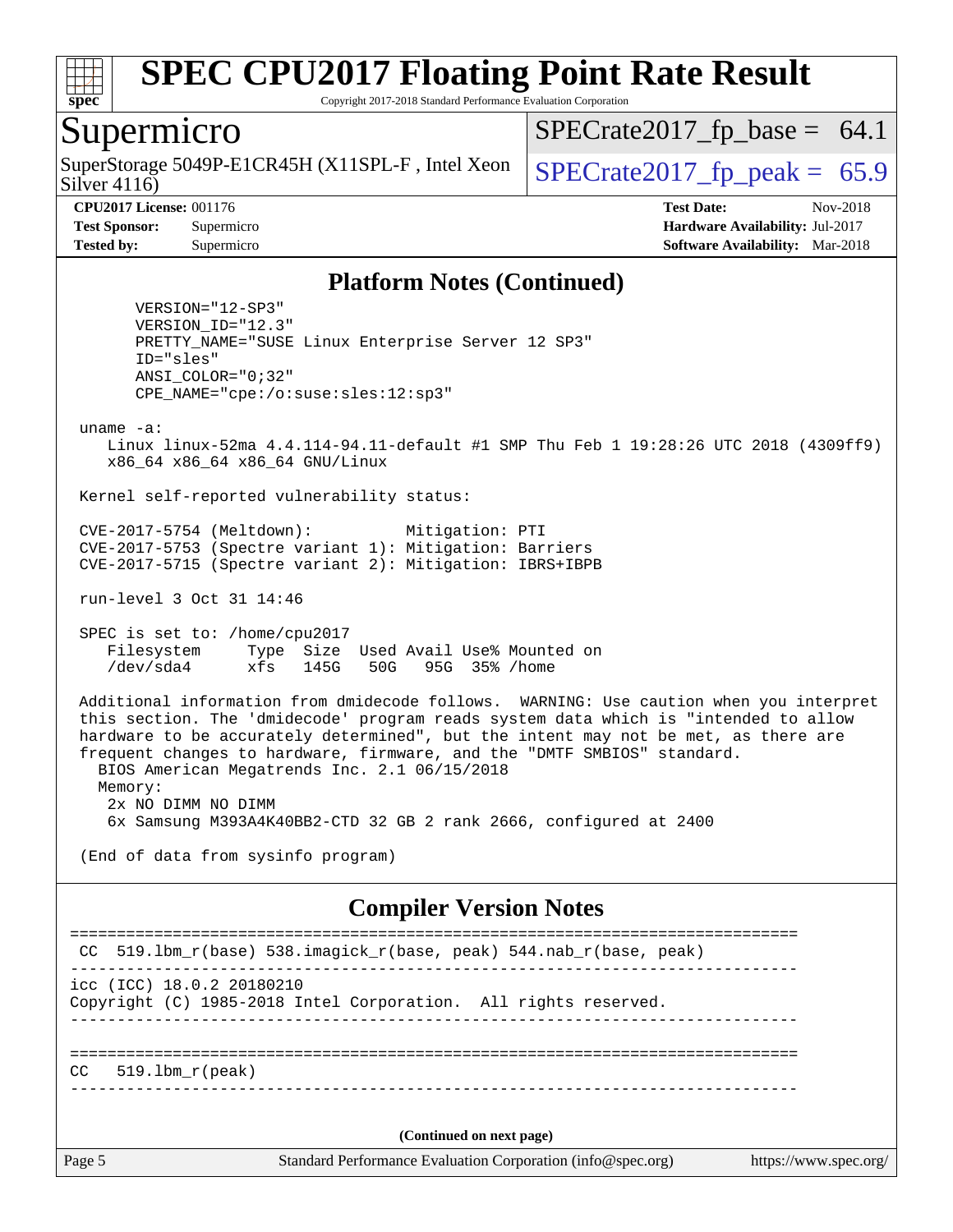

Copyright 2017-2018 Standard Performance Evaluation Corporation

## Supermicro

Silver 4116) SuperStorage 5049P-E1CR45H (X11SPL-F, Intel Xeon  $\big|$  SPECrate2017 fp peak = 65.9

 $SPECTate2017_fp\_base = 64.1$ 

**[CPU2017 License:](http://www.spec.org/auto/cpu2017/Docs/result-fields.html#CPU2017License)** 001176 **[Test Date:](http://www.spec.org/auto/cpu2017/Docs/result-fields.html#TestDate)** Nov-2018 **[Test Sponsor:](http://www.spec.org/auto/cpu2017/Docs/result-fields.html#TestSponsor)** Supermicro **[Hardware Availability:](http://www.spec.org/auto/cpu2017/Docs/result-fields.html#HardwareAvailability)** Jul-2017 **[Tested by:](http://www.spec.org/auto/cpu2017/Docs/result-fields.html#Testedby)** Supermicro **[Software Availability:](http://www.spec.org/auto/cpu2017/Docs/result-fields.html#SoftwareAvailability)** Mar-2018

#### **[Platform Notes \(Continued\)](http://www.spec.org/auto/cpu2017/Docs/result-fields.html#PlatformNotes)**

 VERSION="12-SP3" VERSION\_ID="12.3" PRETTY\_NAME="SUSE Linux Enterprise Server 12 SP3" ID="sles" ANSI\_COLOR="0;32" CPE\_NAME="cpe:/o:suse:sles:12:sp3"

uname -a:

 Linux linux-52ma 4.4.114-94.11-default #1 SMP Thu Feb 1 19:28:26 UTC 2018 (4309ff9) x86\_64 x86\_64 x86\_64 GNU/Linux

Kernel self-reported vulnerability status:

 CVE-2017-5754 (Meltdown): Mitigation: PTI CVE-2017-5753 (Spectre variant 1): Mitigation: Barriers CVE-2017-5715 (Spectre variant 2): Mitigation: IBRS+IBPB

run-level 3 Oct 31 14:46

 SPEC is set to: /home/cpu2017 Filesystem Type Size Used Avail Use% Mounted on /dev/sda4 xfs 145G 50G 95G 35% /home

 Additional information from dmidecode follows. WARNING: Use caution when you interpret this section. The 'dmidecode' program reads system data which is "intended to allow hardware to be accurately determined", but the intent may not be met, as there are frequent changes to hardware, firmware, and the "DMTF SMBIOS" standard. BIOS American Megatrends Inc. 2.1 06/15/2018 Memory: 2x NO DIMM NO DIMM 6x Samsung M393A4K40BB2-CTD 32 GB 2 rank 2666, configured at 2400

(End of data from sysinfo program)

#### **[Compiler Version Notes](http://www.spec.org/auto/cpu2017/Docs/result-fields.html#CompilerVersionNotes)**

Page 5 Standard Performance Evaluation Corporation [\(info@spec.org\)](mailto:info@spec.org) <https://www.spec.org/> ============================================================================== CC 519.lbm\_r(base) 538.imagick\_r(base, peak) 544.nab\_r(base, peak) ----------------------------------------------------------------------------- icc (ICC) 18.0.2 20180210 Copyright (C) 1985-2018 Intel Corporation. All rights reserved. ------------------------------------------------------------------------------ ==============================================================================  $CC = 519.1$ bm  $r(\text{peak})$ ------------------------------------------------------------------------------ **(Continued on next page)**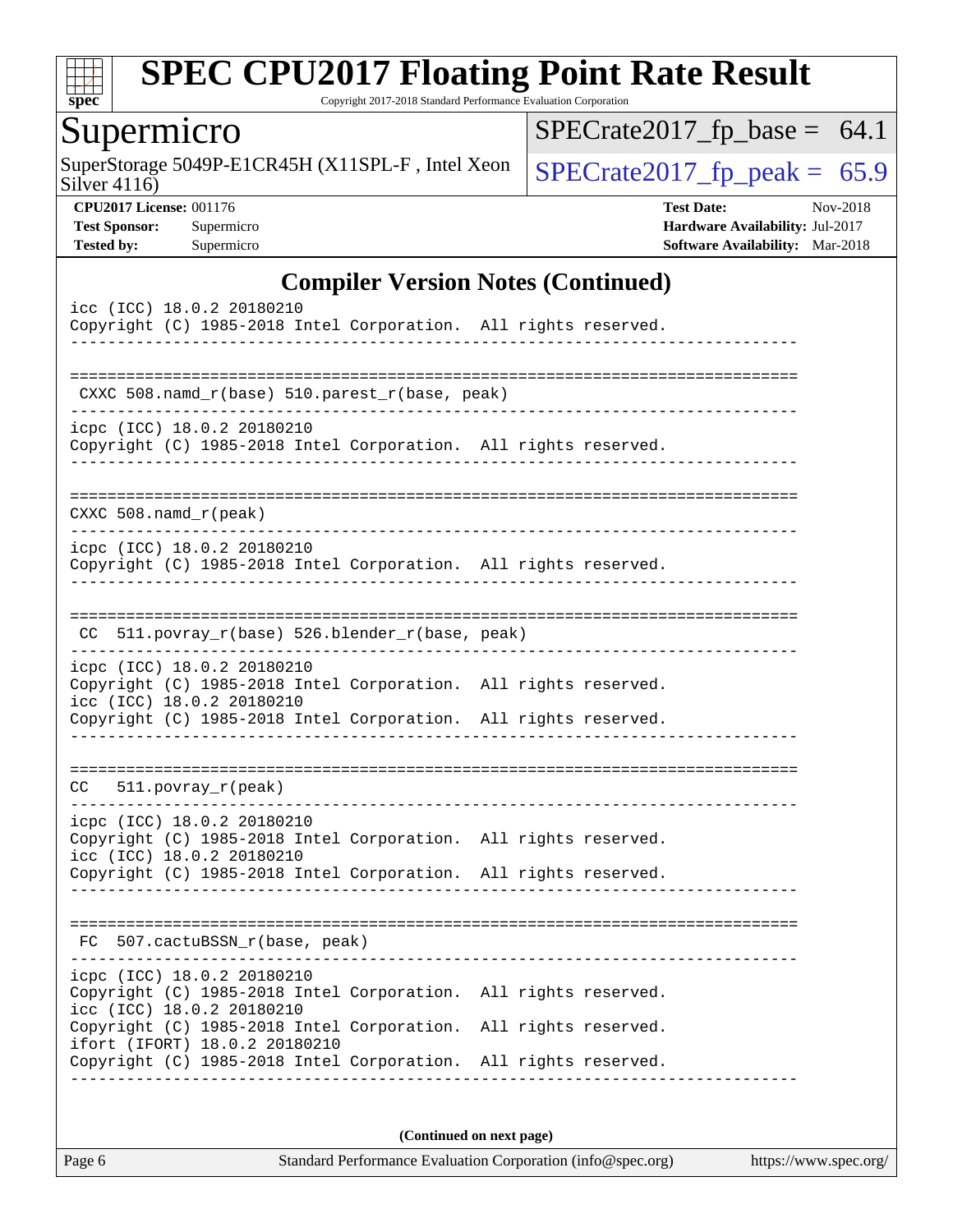

Copyright 2017-2018 Standard Performance Evaluation Corporation

# **Supermicro**

Silver 4116) SuperStorage 5049P-E1CR45H (X11SPL-F, Intel Xeon  $\Big|$  [SPECrate2017\\_fp\\_peak =](http://www.spec.org/auto/cpu2017/Docs/result-fields.html#SPECrate2017fppeak) 65.9

 $SPECrate2017_fp\_base = 64.1$ 

**[CPU2017 License:](http://www.spec.org/auto/cpu2017/Docs/result-fields.html#CPU2017License)** 001176 **[Test Date:](http://www.spec.org/auto/cpu2017/Docs/result-fields.html#TestDate)** Nov-2018 **[Test Sponsor:](http://www.spec.org/auto/cpu2017/Docs/result-fields.html#TestSponsor)** Supermicro **[Hardware Availability:](http://www.spec.org/auto/cpu2017/Docs/result-fields.html#HardwareAvailability)** Jul-2017 **[Tested by:](http://www.spec.org/auto/cpu2017/Docs/result-fields.html#Testedby)** Supermicro **[Software Availability:](http://www.spec.org/auto/cpu2017/Docs/result-fields.html#SoftwareAvailability)** Mar-2018

#### **[Compiler Version Notes \(Continued\)](http://www.spec.org/auto/cpu2017/Docs/result-fields.html#CompilerVersionNotes)**

| icc (ICC) 18.0.2 20180210<br>Copyright (C) 1985-2018 Intel Corporation. All rights reserved.                                                                                                  |  |
|-----------------------------------------------------------------------------------------------------------------------------------------------------------------------------------------------|--|
| CXXC 508.namd_r(base) 510.parest_r(base, peak)                                                                                                                                                |  |
| icpc (ICC) 18.0.2 20180210<br>Copyright (C) 1985-2018 Intel Corporation. All rights reserved.                                                                                                 |  |
| CXXC $508.namd_r(peak)$                                                                                                                                                                       |  |
| icpc (ICC) 18.0.2 20180210<br>Copyright (C) 1985-2018 Intel Corporation. All rights reserved.                                                                                                 |  |
| CC 511.povray_r(base) 526.blender_r(base, peak)                                                                                                                                               |  |
| icpc (ICC) 18.0.2 20180210<br>Copyright (C) 1985-2018 Intel Corporation. All rights reserved.<br>icc (ICC) 18.0.2 20180210<br>Copyright (C) 1985-2018 Intel Corporation. All rights reserved. |  |
| 511.povray_r(peak)<br>CC                                                                                                                                                                      |  |
| icpc (ICC) 18.0.2 20180210<br>Copyright (C) 1985-2018 Intel Corporation. All rights reserved.<br>icc (ICC) 18.0.2 20180210<br>Copyright (C) 1985-2018 Intel Corporation. All rights reserved. |  |
| FC 507.cactuBSSN_r(base, peak)                                                                                                                                                                |  |
| icpc (ICC) 18.0.2 20180210<br>Copyright (C) 1985-2018 Intel Corporation. All rights reserved.<br>icc (ICC) 18.0.2 20180210                                                                    |  |
| Copyright (C) 1985-2018 Intel Corporation. All rights reserved.<br>ifort (IFORT) 18.0.2 20180210<br>Copyright (C) 1985-2018 Intel Corporation. All rights reserved.                           |  |
|                                                                                                                                                                                               |  |

**(Continued on next page)**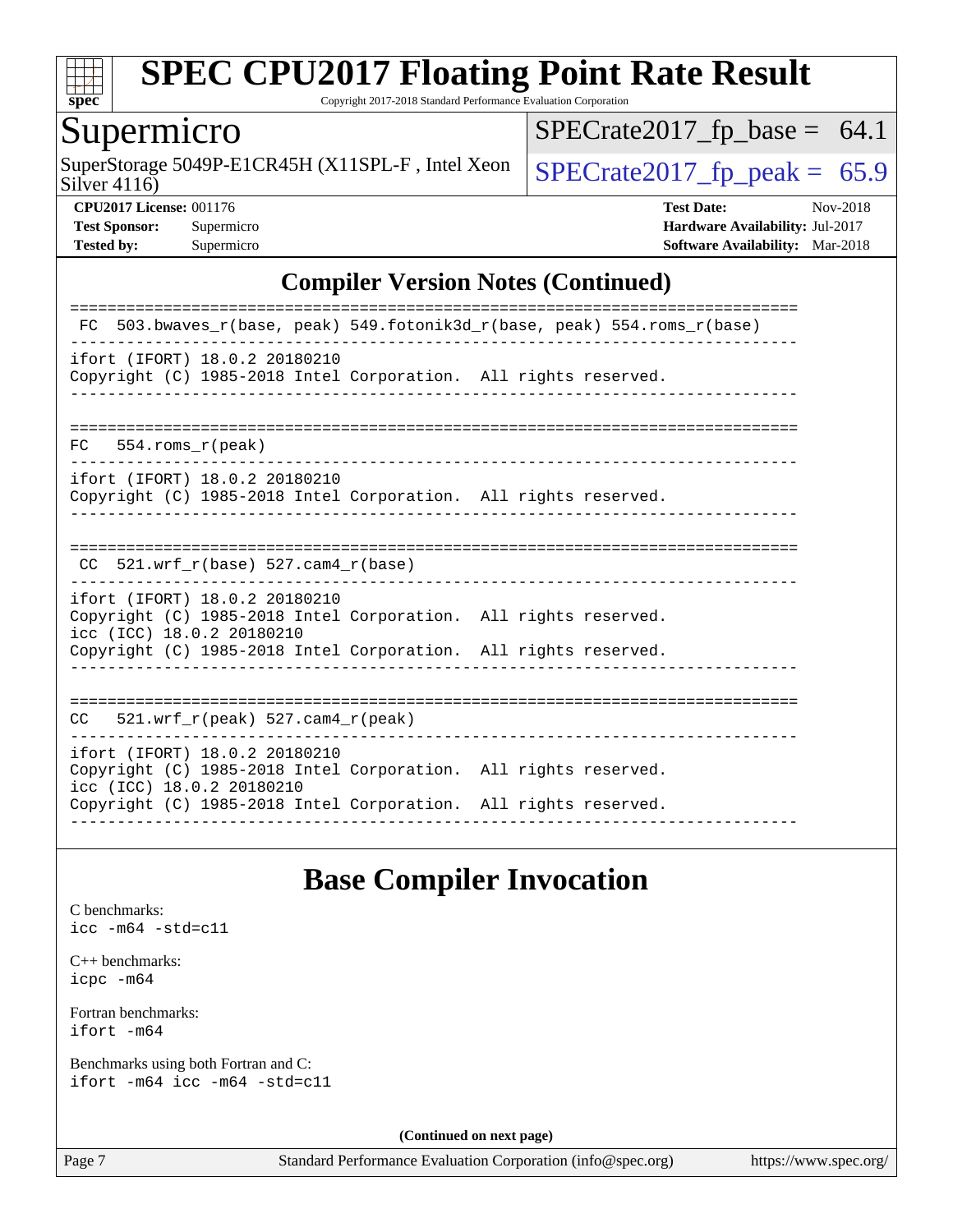

Copyright 2017-2018 Standard Performance Evaluation Corporation

## Supermicro

Silver 4116) SuperStorage 5049P-E1CR45H (X11SPL-F, Intel Xeon  $\Big|$  [SPECrate2017\\_fp\\_peak =](http://www.spec.org/auto/cpu2017/Docs/result-fields.html#SPECrate2017fppeak) 65.9

 $SPECrate2017_fp\_base = 64.1$ 

**[CPU2017 License:](http://www.spec.org/auto/cpu2017/Docs/result-fields.html#CPU2017License)** 001176 **[Test Date:](http://www.spec.org/auto/cpu2017/Docs/result-fields.html#TestDate)** Nov-2018 **[Test Sponsor:](http://www.spec.org/auto/cpu2017/Docs/result-fields.html#TestSponsor)** Supermicro **[Hardware Availability:](http://www.spec.org/auto/cpu2017/Docs/result-fields.html#HardwareAvailability)** Jul-2017 **[Tested by:](http://www.spec.org/auto/cpu2017/Docs/result-fields.html#Testedby)** Supermicro **[Software Availability:](http://www.spec.org/auto/cpu2017/Docs/result-fields.html#SoftwareAvailability)** Mar-2018

#### **[Compiler Version Notes \(Continued\)](http://www.spec.org/auto/cpu2017/Docs/result-fields.html#CompilerVersionNotes)**

| 503.bwaves $r(base, peak)$ 549.fotonik3d $r(base, peak)$ 554.roms $r(base)$<br>FC.                                                                                                               |
|--------------------------------------------------------------------------------------------------------------------------------------------------------------------------------------------------|
| ifort (IFORT) 18.0.2 20180210<br>Copyright (C) 1985-2018 Intel Corporation. All rights reserved.                                                                                                 |
| $FC$ 554. roms $r$ (peak)                                                                                                                                                                        |
| ifort (IFORT) 18.0.2 20180210<br>Copyright (C) 1985-2018 Intel Corporation. All rights reserved.                                                                                                 |
| 521.wrf $r(base)$ 527.cam4 $r(base)$<br>CC                                                                                                                                                       |
| ifort (IFORT) 18.0.2 20180210<br>Copyright (C) 1985-2018 Intel Corporation. All rights reserved.<br>icc (ICC) 18.0.2 20180210<br>Copyright (C) 1985-2018 Intel Corporation. All rights reserved. |
| $521.$ wrf_r(peak) 527.cam4_r(peak)<br>CC.                                                                                                                                                       |
| ifort (IFORT) 18.0.2 20180210<br>Copyright (C) 1985-2018 Intel Corporation. All rights reserved.<br>icc (ICC) 18.0.2 20180210<br>Copyright (C) 1985-2018 Intel Corporation. All rights reserved. |

#### **[Base Compiler Invocation](http://www.spec.org/auto/cpu2017/Docs/result-fields.html#BaseCompilerInvocation)**

[C benchmarks](http://www.spec.org/auto/cpu2017/Docs/result-fields.html#Cbenchmarks): [icc -m64 -std=c11](http://www.spec.org/cpu2017/results/res2018q4/cpu2017-20181112-09664.flags.html#user_CCbase_intel_icc_64bit_c11_33ee0cdaae7deeeab2a9725423ba97205ce30f63b9926c2519791662299b76a0318f32ddfffdc46587804de3178b4f9328c46fa7c2b0cd779d7a61945c91cd35)

[C++ benchmarks:](http://www.spec.org/auto/cpu2017/Docs/result-fields.html#CXXbenchmarks) [icpc -m64](http://www.spec.org/cpu2017/results/res2018q4/cpu2017-20181112-09664.flags.html#user_CXXbase_intel_icpc_64bit_4ecb2543ae3f1412ef961e0650ca070fec7b7afdcd6ed48761b84423119d1bf6bdf5cad15b44d48e7256388bc77273b966e5eb805aefd121eb22e9299b2ec9d9)

[Fortran benchmarks](http://www.spec.org/auto/cpu2017/Docs/result-fields.html#Fortranbenchmarks): [ifort -m64](http://www.spec.org/cpu2017/results/res2018q4/cpu2017-20181112-09664.flags.html#user_FCbase_intel_ifort_64bit_24f2bb282fbaeffd6157abe4f878425411749daecae9a33200eee2bee2fe76f3b89351d69a8130dd5949958ce389cf37ff59a95e7a40d588e8d3a57e0c3fd751)

[Benchmarks using both Fortran and C](http://www.spec.org/auto/cpu2017/Docs/result-fields.html#BenchmarksusingbothFortranandC): [ifort -m64](http://www.spec.org/cpu2017/results/res2018q4/cpu2017-20181112-09664.flags.html#user_CC_FCbase_intel_ifort_64bit_24f2bb282fbaeffd6157abe4f878425411749daecae9a33200eee2bee2fe76f3b89351d69a8130dd5949958ce389cf37ff59a95e7a40d588e8d3a57e0c3fd751) [icc -m64 -std=c11](http://www.spec.org/cpu2017/results/res2018q4/cpu2017-20181112-09664.flags.html#user_CC_FCbase_intel_icc_64bit_c11_33ee0cdaae7deeeab2a9725423ba97205ce30f63b9926c2519791662299b76a0318f32ddfffdc46587804de3178b4f9328c46fa7c2b0cd779d7a61945c91cd35)

**(Continued on next page)**

Page 7 Standard Performance Evaluation Corporation [\(info@spec.org\)](mailto:info@spec.org) <https://www.spec.org/>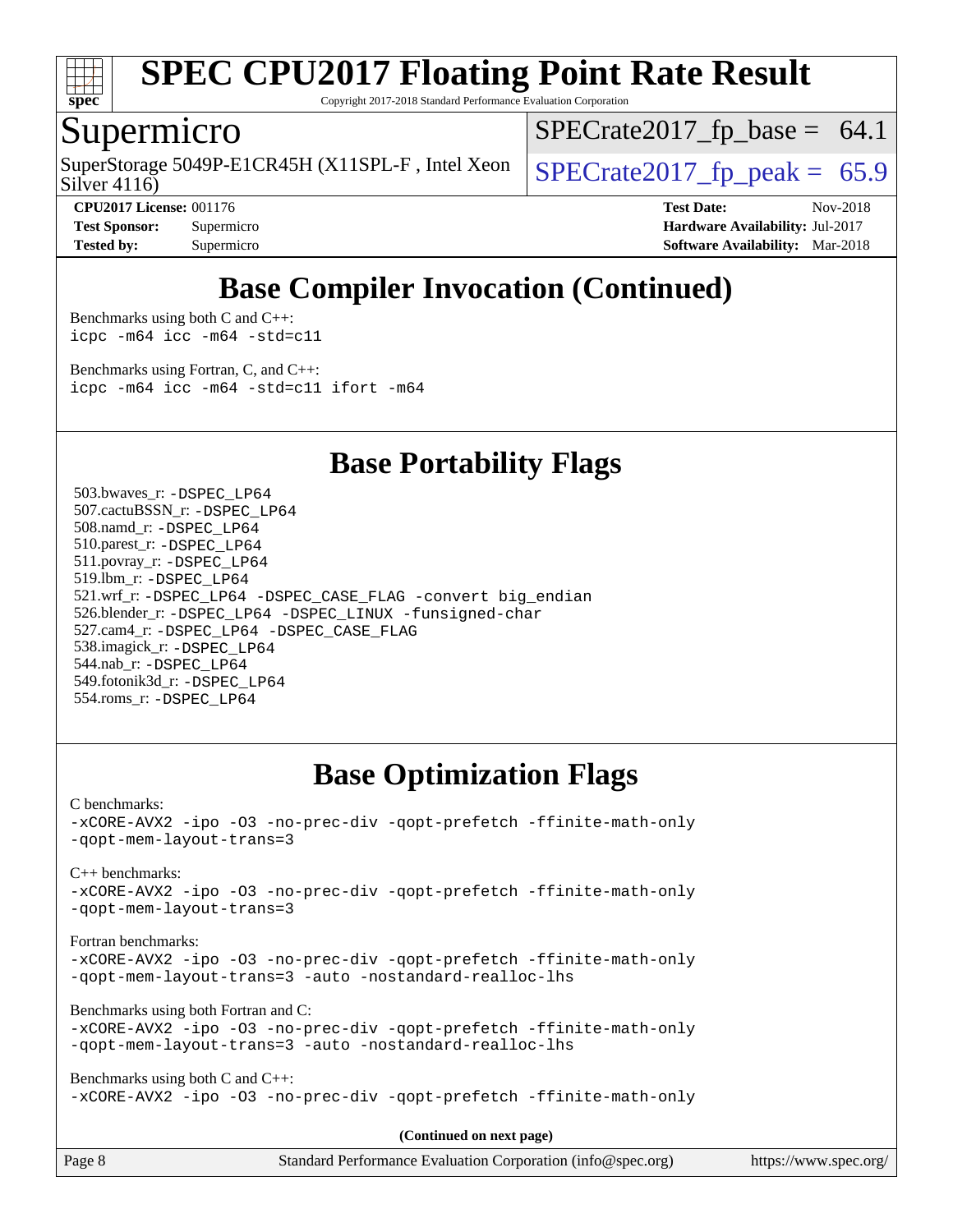

Copyright 2017-2018 Standard Performance Evaluation Corporation

## Supermicro

Silver 4116) SuperStorage 5049P-E1CR45H (X11SPL-F, Intel Xeon  $\big|$  SPECrate2017 fp peak = 65.9

 $SPECTate2017_fp\_base = 64.1$ 

**[CPU2017 License:](http://www.spec.org/auto/cpu2017/Docs/result-fields.html#CPU2017License)** 001176 **[Test Date:](http://www.spec.org/auto/cpu2017/Docs/result-fields.html#TestDate)** Nov-2018 **[Test Sponsor:](http://www.spec.org/auto/cpu2017/Docs/result-fields.html#TestSponsor)** Supermicro **[Hardware Availability:](http://www.spec.org/auto/cpu2017/Docs/result-fields.html#HardwareAvailability)** Jul-2017 **[Tested by:](http://www.spec.org/auto/cpu2017/Docs/result-fields.html#Testedby)** Supermicro **[Software Availability:](http://www.spec.org/auto/cpu2017/Docs/result-fields.html#SoftwareAvailability)** Mar-2018

## **[Base Compiler Invocation \(Continued\)](http://www.spec.org/auto/cpu2017/Docs/result-fields.html#BaseCompilerInvocation)**

[Benchmarks using both C and C++](http://www.spec.org/auto/cpu2017/Docs/result-fields.html#BenchmarksusingbothCandCXX): [icpc -m64](http://www.spec.org/cpu2017/results/res2018q4/cpu2017-20181112-09664.flags.html#user_CC_CXXbase_intel_icpc_64bit_4ecb2543ae3f1412ef961e0650ca070fec7b7afdcd6ed48761b84423119d1bf6bdf5cad15b44d48e7256388bc77273b966e5eb805aefd121eb22e9299b2ec9d9) [icc -m64 -std=c11](http://www.spec.org/cpu2017/results/res2018q4/cpu2017-20181112-09664.flags.html#user_CC_CXXbase_intel_icc_64bit_c11_33ee0cdaae7deeeab2a9725423ba97205ce30f63b9926c2519791662299b76a0318f32ddfffdc46587804de3178b4f9328c46fa7c2b0cd779d7a61945c91cd35)

[Benchmarks using Fortran, C, and C++:](http://www.spec.org/auto/cpu2017/Docs/result-fields.html#BenchmarksusingFortranCandCXX) [icpc -m64](http://www.spec.org/cpu2017/results/res2018q4/cpu2017-20181112-09664.flags.html#user_CC_CXX_FCbase_intel_icpc_64bit_4ecb2543ae3f1412ef961e0650ca070fec7b7afdcd6ed48761b84423119d1bf6bdf5cad15b44d48e7256388bc77273b966e5eb805aefd121eb22e9299b2ec9d9) [icc -m64 -std=c11](http://www.spec.org/cpu2017/results/res2018q4/cpu2017-20181112-09664.flags.html#user_CC_CXX_FCbase_intel_icc_64bit_c11_33ee0cdaae7deeeab2a9725423ba97205ce30f63b9926c2519791662299b76a0318f32ddfffdc46587804de3178b4f9328c46fa7c2b0cd779d7a61945c91cd35) [ifort -m64](http://www.spec.org/cpu2017/results/res2018q4/cpu2017-20181112-09664.flags.html#user_CC_CXX_FCbase_intel_ifort_64bit_24f2bb282fbaeffd6157abe4f878425411749daecae9a33200eee2bee2fe76f3b89351d69a8130dd5949958ce389cf37ff59a95e7a40d588e8d3a57e0c3fd751)

**[Base Portability Flags](http://www.spec.org/auto/cpu2017/Docs/result-fields.html#BasePortabilityFlags)**

 503.bwaves\_r: [-DSPEC\\_LP64](http://www.spec.org/cpu2017/results/res2018q4/cpu2017-20181112-09664.flags.html#suite_basePORTABILITY503_bwaves_r_DSPEC_LP64) 507.cactuBSSN\_r: [-DSPEC\\_LP64](http://www.spec.org/cpu2017/results/res2018q4/cpu2017-20181112-09664.flags.html#suite_basePORTABILITY507_cactuBSSN_r_DSPEC_LP64) 508.namd\_r: [-DSPEC\\_LP64](http://www.spec.org/cpu2017/results/res2018q4/cpu2017-20181112-09664.flags.html#suite_basePORTABILITY508_namd_r_DSPEC_LP64) 510.parest\_r: [-DSPEC\\_LP64](http://www.spec.org/cpu2017/results/res2018q4/cpu2017-20181112-09664.flags.html#suite_basePORTABILITY510_parest_r_DSPEC_LP64) 511.povray\_r: [-DSPEC\\_LP64](http://www.spec.org/cpu2017/results/res2018q4/cpu2017-20181112-09664.flags.html#suite_basePORTABILITY511_povray_r_DSPEC_LP64) 519.lbm\_r: [-DSPEC\\_LP64](http://www.spec.org/cpu2017/results/res2018q4/cpu2017-20181112-09664.flags.html#suite_basePORTABILITY519_lbm_r_DSPEC_LP64) 521.wrf\_r: [-DSPEC\\_LP64](http://www.spec.org/cpu2017/results/res2018q4/cpu2017-20181112-09664.flags.html#suite_basePORTABILITY521_wrf_r_DSPEC_LP64) [-DSPEC\\_CASE\\_FLAG](http://www.spec.org/cpu2017/results/res2018q4/cpu2017-20181112-09664.flags.html#b521.wrf_r_baseCPORTABILITY_DSPEC_CASE_FLAG) [-convert big\\_endian](http://www.spec.org/cpu2017/results/res2018q4/cpu2017-20181112-09664.flags.html#user_baseFPORTABILITY521_wrf_r_convert_big_endian_c3194028bc08c63ac5d04de18c48ce6d347e4e562e8892b8bdbdc0214820426deb8554edfa529a3fb25a586e65a3d812c835984020483e7e73212c4d31a38223) 526.blender\_r: [-DSPEC\\_LP64](http://www.spec.org/cpu2017/results/res2018q4/cpu2017-20181112-09664.flags.html#suite_basePORTABILITY526_blender_r_DSPEC_LP64) [-DSPEC\\_LINUX](http://www.spec.org/cpu2017/results/res2018q4/cpu2017-20181112-09664.flags.html#b526.blender_r_baseCPORTABILITY_DSPEC_LINUX) [-funsigned-char](http://www.spec.org/cpu2017/results/res2018q4/cpu2017-20181112-09664.flags.html#user_baseCPORTABILITY526_blender_r_force_uchar_40c60f00ab013830e2dd6774aeded3ff59883ba5a1fc5fc14077f794d777847726e2a5858cbc7672e36e1b067e7e5c1d9a74f7176df07886a243d7cc18edfe67) 527.cam4\_r: [-DSPEC\\_LP64](http://www.spec.org/cpu2017/results/res2018q4/cpu2017-20181112-09664.flags.html#suite_basePORTABILITY527_cam4_r_DSPEC_LP64) [-DSPEC\\_CASE\\_FLAG](http://www.spec.org/cpu2017/results/res2018q4/cpu2017-20181112-09664.flags.html#b527.cam4_r_baseCPORTABILITY_DSPEC_CASE_FLAG) 538.imagick\_r: [-DSPEC\\_LP64](http://www.spec.org/cpu2017/results/res2018q4/cpu2017-20181112-09664.flags.html#suite_basePORTABILITY538_imagick_r_DSPEC_LP64) 544.nab\_r: [-DSPEC\\_LP64](http://www.spec.org/cpu2017/results/res2018q4/cpu2017-20181112-09664.flags.html#suite_basePORTABILITY544_nab_r_DSPEC_LP64) 549.fotonik3d\_r: [-DSPEC\\_LP64](http://www.spec.org/cpu2017/results/res2018q4/cpu2017-20181112-09664.flags.html#suite_basePORTABILITY549_fotonik3d_r_DSPEC_LP64) 554.roms\_r: [-DSPEC\\_LP64](http://www.spec.org/cpu2017/results/res2018q4/cpu2017-20181112-09664.flags.html#suite_basePORTABILITY554_roms_r_DSPEC_LP64)

## **[Base Optimization Flags](http://www.spec.org/auto/cpu2017/Docs/result-fields.html#BaseOptimizationFlags)**

[C benchmarks](http://www.spec.org/auto/cpu2017/Docs/result-fields.html#Cbenchmarks):

[-xCORE-AVX2](http://www.spec.org/cpu2017/results/res2018q4/cpu2017-20181112-09664.flags.html#user_CCbase_f-xCORE-AVX2) [-ipo](http://www.spec.org/cpu2017/results/res2018q4/cpu2017-20181112-09664.flags.html#user_CCbase_f-ipo) [-O3](http://www.spec.org/cpu2017/results/res2018q4/cpu2017-20181112-09664.flags.html#user_CCbase_f-O3) [-no-prec-div](http://www.spec.org/cpu2017/results/res2018q4/cpu2017-20181112-09664.flags.html#user_CCbase_f-no-prec-div) [-qopt-prefetch](http://www.spec.org/cpu2017/results/res2018q4/cpu2017-20181112-09664.flags.html#user_CCbase_f-qopt-prefetch) [-ffinite-math-only](http://www.spec.org/cpu2017/results/res2018q4/cpu2017-20181112-09664.flags.html#user_CCbase_f_finite_math_only_cb91587bd2077682c4b38af759c288ed7c732db004271a9512da14a4f8007909a5f1427ecbf1a0fb78ff2a814402c6114ac565ca162485bbcae155b5e4258871) [-qopt-mem-layout-trans=3](http://www.spec.org/cpu2017/results/res2018q4/cpu2017-20181112-09664.flags.html#user_CCbase_f-qopt-mem-layout-trans_de80db37974c74b1f0e20d883f0b675c88c3b01e9d123adea9b28688d64333345fb62bc4a798493513fdb68f60282f9a726aa07f478b2f7113531aecce732043)

[C++ benchmarks:](http://www.spec.org/auto/cpu2017/Docs/result-fields.html#CXXbenchmarks)

[-xCORE-AVX2](http://www.spec.org/cpu2017/results/res2018q4/cpu2017-20181112-09664.flags.html#user_CXXbase_f-xCORE-AVX2) [-ipo](http://www.spec.org/cpu2017/results/res2018q4/cpu2017-20181112-09664.flags.html#user_CXXbase_f-ipo) [-O3](http://www.spec.org/cpu2017/results/res2018q4/cpu2017-20181112-09664.flags.html#user_CXXbase_f-O3) [-no-prec-div](http://www.spec.org/cpu2017/results/res2018q4/cpu2017-20181112-09664.flags.html#user_CXXbase_f-no-prec-div) [-qopt-prefetch](http://www.spec.org/cpu2017/results/res2018q4/cpu2017-20181112-09664.flags.html#user_CXXbase_f-qopt-prefetch) [-ffinite-math-only](http://www.spec.org/cpu2017/results/res2018q4/cpu2017-20181112-09664.flags.html#user_CXXbase_f_finite_math_only_cb91587bd2077682c4b38af759c288ed7c732db004271a9512da14a4f8007909a5f1427ecbf1a0fb78ff2a814402c6114ac565ca162485bbcae155b5e4258871) [-qopt-mem-layout-trans=3](http://www.spec.org/cpu2017/results/res2018q4/cpu2017-20181112-09664.flags.html#user_CXXbase_f-qopt-mem-layout-trans_de80db37974c74b1f0e20d883f0b675c88c3b01e9d123adea9b28688d64333345fb62bc4a798493513fdb68f60282f9a726aa07f478b2f7113531aecce732043)

[Fortran benchmarks](http://www.spec.org/auto/cpu2017/Docs/result-fields.html#Fortranbenchmarks):

[-xCORE-AVX2](http://www.spec.org/cpu2017/results/res2018q4/cpu2017-20181112-09664.flags.html#user_FCbase_f-xCORE-AVX2) [-ipo](http://www.spec.org/cpu2017/results/res2018q4/cpu2017-20181112-09664.flags.html#user_FCbase_f-ipo) [-O3](http://www.spec.org/cpu2017/results/res2018q4/cpu2017-20181112-09664.flags.html#user_FCbase_f-O3) [-no-prec-div](http://www.spec.org/cpu2017/results/res2018q4/cpu2017-20181112-09664.flags.html#user_FCbase_f-no-prec-div) [-qopt-prefetch](http://www.spec.org/cpu2017/results/res2018q4/cpu2017-20181112-09664.flags.html#user_FCbase_f-qopt-prefetch) [-ffinite-math-only](http://www.spec.org/cpu2017/results/res2018q4/cpu2017-20181112-09664.flags.html#user_FCbase_f_finite_math_only_cb91587bd2077682c4b38af759c288ed7c732db004271a9512da14a4f8007909a5f1427ecbf1a0fb78ff2a814402c6114ac565ca162485bbcae155b5e4258871) [-qopt-mem-layout-trans=3](http://www.spec.org/cpu2017/results/res2018q4/cpu2017-20181112-09664.flags.html#user_FCbase_f-qopt-mem-layout-trans_de80db37974c74b1f0e20d883f0b675c88c3b01e9d123adea9b28688d64333345fb62bc4a798493513fdb68f60282f9a726aa07f478b2f7113531aecce732043) [-auto](http://www.spec.org/cpu2017/results/res2018q4/cpu2017-20181112-09664.flags.html#user_FCbase_f-auto) [-nostandard-realloc-lhs](http://www.spec.org/cpu2017/results/res2018q4/cpu2017-20181112-09664.flags.html#user_FCbase_f_2003_std_realloc_82b4557e90729c0f113870c07e44d33d6f5a304b4f63d4c15d2d0f1fab99f5daaed73bdb9275d9ae411527f28b936061aa8b9c8f2d63842963b95c9dd6426b8a)

[Benchmarks using both Fortran and C](http://www.spec.org/auto/cpu2017/Docs/result-fields.html#BenchmarksusingbothFortranandC):

```
-xCORE-AVX2 -ipo -O3 -no-prec-div -qopt-prefetch -ffinite-math-only
-qopt-mem-layout-trans=3 -auto -nostandard-realloc-lhs
```
[Benchmarks using both C and C++](http://www.spec.org/auto/cpu2017/Docs/result-fields.html#BenchmarksusingbothCandCXX): [-xCORE-AVX2](http://www.spec.org/cpu2017/results/res2018q4/cpu2017-20181112-09664.flags.html#user_CC_CXXbase_f-xCORE-AVX2) [-ipo](http://www.spec.org/cpu2017/results/res2018q4/cpu2017-20181112-09664.flags.html#user_CC_CXXbase_f-ipo) [-O3](http://www.spec.org/cpu2017/results/res2018q4/cpu2017-20181112-09664.flags.html#user_CC_CXXbase_f-O3) [-no-prec-div](http://www.spec.org/cpu2017/results/res2018q4/cpu2017-20181112-09664.flags.html#user_CC_CXXbase_f-no-prec-div) [-qopt-prefetch](http://www.spec.org/cpu2017/results/res2018q4/cpu2017-20181112-09664.flags.html#user_CC_CXXbase_f-qopt-prefetch) [-ffinite-math-only](http://www.spec.org/cpu2017/results/res2018q4/cpu2017-20181112-09664.flags.html#user_CC_CXXbase_f_finite_math_only_cb91587bd2077682c4b38af759c288ed7c732db004271a9512da14a4f8007909a5f1427ecbf1a0fb78ff2a814402c6114ac565ca162485bbcae155b5e4258871)

**(Continued on next page)**

| Page 8 | Standard Performance Evaluation Corporation (info@spec.org) | https://www.spec.org/ |
|--------|-------------------------------------------------------------|-----------------------|
|        |                                                             |                       |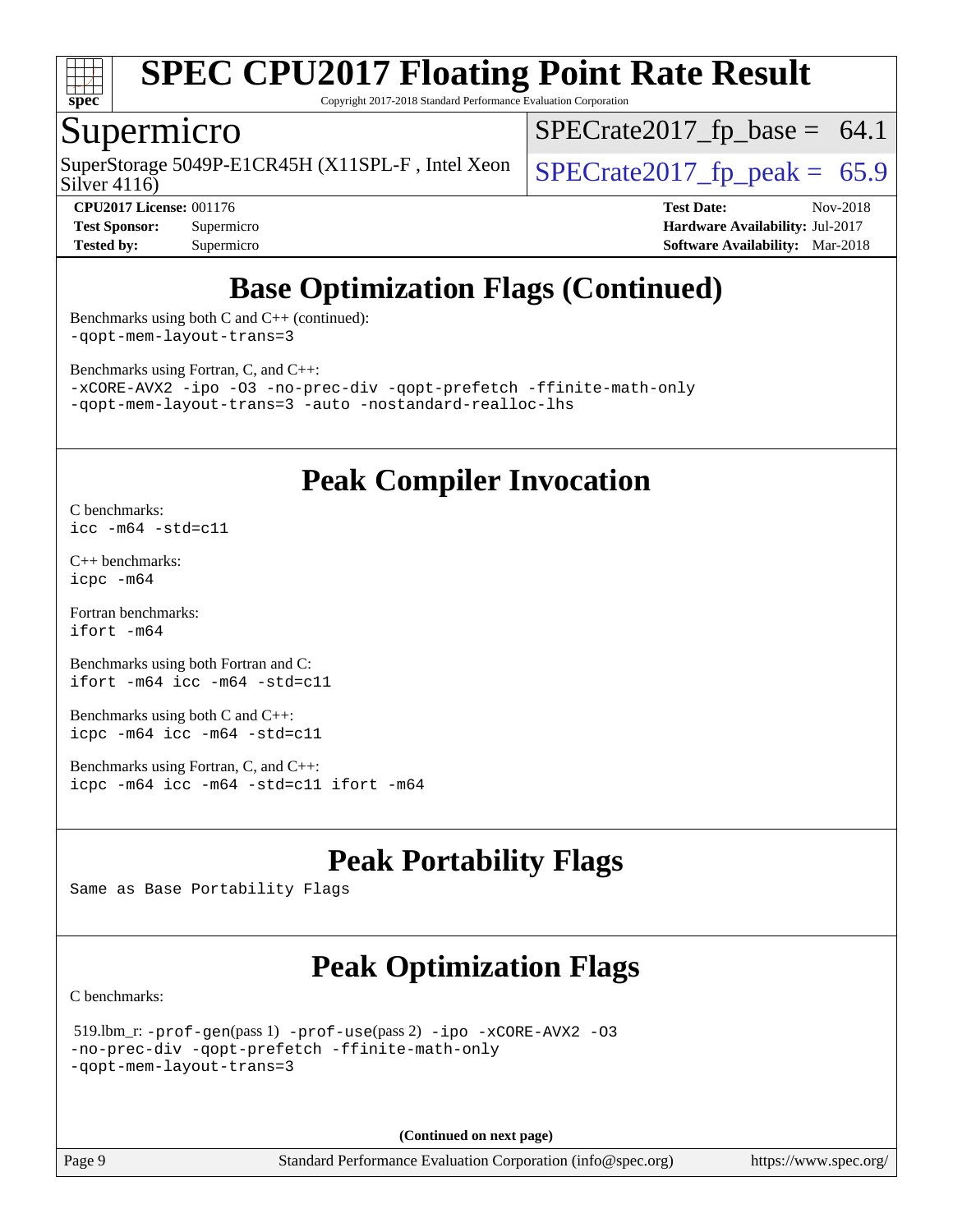

Copyright 2017-2018 Standard Performance Evaluation Corporation

## Supermicro

SuperStorage 5049P-E1CR45H (X11SPL-F, Intel Xeon  $\big|$  [SPECrate2017\\_fp\\_peak =](http://www.spec.org/auto/cpu2017/Docs/result-fields.html#SPECrate2017fppeak) 65.9

 $SPECrate2017_fp\_base = 64.1$ 

Silver 4116)

**[CPU2017 License:](http://www.spec.org/auto/cpu2017/Docs/result-fields.html#CPU2017License)** 001176 **[Test Date:](http://www.spec.org/auto/cpu2017/Docs/result-fields.html#TestDate)** Nov-2018 **[Test Sponsor:](http://www.spec.org/auto/cpu2017/Docs/result-fields.html#TestSponsor)** Supermicro **[Hardware Availability:](http://www.spec.org/auto/cpu2017/Docs/result-fields.html#HardwareAvailability)** Jul-2017 **[Tested by:](http://www.spec.org/auto/cpu2017/Docs/result-fields.html#Testedby)** Supermicro **[Software Availability:](http://www.spec.org/auto/cpu2017/Docs/result-fields.html#SoftwareAvailability)** Mar-2018

## **[Base Optimization Flags \(Continued\)](http://www.spec.org/auto/cpu2017/Docs/result-fields.html#BaseOptimizationFlags)**

[Benchmarks using both C and C++](http://www.spec.org/auto/cpu2017/Docs/result-fields.html#BenchmarksusingbothCandCXX) (continued): [-qopt-mem-layout-trans=3](http://www.spec.org/cpu2017/results/res2018q4/cpu2017-20181112-09664.flags.html#user_CC_CXXbase_f-qopt-mem-layout-trans_de80db37974c74b1f0e20d883f0b675c88c3b01e9d123adea9b28688d64333345fb62bc4a798493513fdb68f60282f9a726aa07f478b2f7113531aecce732043)

[Benchmarks using Fortran, C, and C++:](http://www.spec.org/auto/cpu2017/Docs/result-fields.html#BenchmarksusingFortranCandCXX)

[-xCORE-AVX2](http://www.spec.org/cpu2017/results/res2018q4/cpu2017-20181112-09664.flags.html#user_CC_CXX_FCbase_f-xCORE-AVX2) [-ipo](http://www.spec.org/cpu2017/results/res2018q4/cpu2017-20181112-09664.flags.html#user_CC_CXX_FCbase_f-ipo) [-O3](http://www.spec.org/cpu2017/results/res2018q4/cpu2017-20181112-09664.flags.html#user_CC_CXX_FCbase_f-O3) [-no-prec-div](http://www.spec.org/cpu2017/results/res2018q4/cpu2017-20181112-09664.flags.html#user_CC_CXX_FCbase_f-no-prec-div) [-qopt-prefetch](http://www.spec.org/cpu2017/results/res2018q4/cpu2017-20181112-09664.flags.html#user_CC_CXX_FCbase_f-qopt-prefetch) [-ffinite-math-only](http://www.spec.org/cpu2017/results/res2018q4/cpu2017-20181112-09664.flags.html#user_CC_CXX_FCbase_f_finite_math_only_cb91587bd2077682c4b38af759c288ed7c732db004271a9512da14a4f8007909a5f1427ecbf1a0fb78ff2a814402c6114ac565ca162485bbcae155b5e4258871) [-qopt-mem-layout-trans=3](http://www.spec.org/cpu2017/results/res2018q4/cpu2017-20181112-09664.flags.html#user_CC_CXX_FCbase_f-qopt-mem-layout-trans_de80db37974c74b1f0e20d883f0b675c88c3b01e9d123adea9b28688d64333345fb62bc4a798493513fdb68f60282f9a726aa07f478b2f7113531aecce732043) [-auto](http://www.spec.org/cpu2017/results/res2018q4/cpu2017-20181112-09664.flags.html#user_CC_CXX_FCbase_f-auto) [-nostandard-realloc-lhs](http://www.spec.org/cpu2017/results/res2018q4/cpu2017-20181112-09664.flags.html#user_CC_CXX_FCbase_f_2003_std_realloc_82b4557e90729c0f113870c07e44d33d6f5a304b4f63d4c15d2d0f1fab99f5daaed73bdb9275d9ae411527f28b936061aa8b9c8f2d63842963b95c9dd6426b8a)

## **[Peak Compiler Invocation](http://www.spec.org/auto/cpu2017/Docs/result-fields.html#PeakCompilerInvocation)**

[C benchmarks](http://www.spec.org/auto/cpu2017/Docs/result-fields.html#Cbenchmarks): [icc -m64 -std=c11](http://www.spec.org/cpu2017/results/res2018q4/cpu2017-20181112-09664.flags.html#user_CCpeak_intel_icc_64bit_c11_33ee0cdaae7deeeab2a9725423ba97205ce30f63b9926c2519791662299b76a0318f32ddfffdc46587804de3178b4f9328c46fa7c2b0cd779d7a61945c91cd35)

[C++ benchmarks:](http://www.spec.org/auto/cpu2017/Docs/result-fields.html#CXXbenchmarks) [icpc -m64](http://www.spec.org/cpu2017/results/res2018q4/cpu2017-20181112-09664.flags.html#user_CXXpeak_intel_icpc_64bit_4ecb2543ae3f1412ef961e0650ca070fec7b7afdcd6ed48761b84423119d1bf6bdf5cad15b44d48e7256388bc77273b966e5eb805aefd121eb22e9299b2ec9d9)

[Fortran benchmarks](http://www.spec.org/auto/cpu2017/Docs/result-fields.html#Fortranbenchmarks): [ifort -m64](http://www.spec.org/cpu2017/results/res2018q4/cpu2017-20181112-09664.flags.html#user_FCpeak_intel_ifort_64bit_24f2bb282fbaeffd6157abe4f878425411749daecae9a33200eee2bee2fe76f3b89351d69a8130dd5949958ce389cf37ff59a95e7a40d588e8d3a57e0c3fd751)

[Benchmarks using both Fortran and C](http://www.spec.org/auto/cpu2017/Docs/result-fields.html#BenchmarksusingbothFortranandC): [ifort -m64](http://www.spec.org/cpu2017/results/res2018q4/cpu2017-20181112-09664.flags.html#user_CC_FCpeak_intel_ifort_64bit_24f2bb282fbaeffd6157abe4f878425411749daecae9a33200eee2bee2fe76f3b89351d69a8130dd5949958ce389cf37ff59a95e7a40d588e8d3a57e0c3fd751) [icc -m64 -std=c11](http://www.spec.org/cpu2017/results/res2018q4/cpu2017-20181112-09664.flags.html#user_CC_FCpeak_intel_icc_64bit_c11_33ee0cdaae7deeeab2a9725423ba97205ce30f63b9926c2519791662299b76a0318f32ddfffdc46587804de3178b4f9328c46fa7c2b0cd779d7a61945c91cd35)

[Benchmarks using both C and C++](http://www.spec.org/auto/cpu2017/Docs/result-fields.html#BenchmarksusingbothCandCXX): [icpc -m64](http://www.spec.org/cpu2017/results/res2018q4/cpu2017-20181112-09664.flags.html#user_CC_CXXpeak_intel_icpc_64bit_4ecb2543ae3f1412ef961e0650ca070fec7b7afdcd6ed48761b84423119d1bf6bdf5cad15b44d48e7256388bc77273b966e5eb805aefd121eb22e9299b2ec9d9) [icc -m64 -std=c11](http://www.spec.org/cpu2017/results/res2018q4/cpu2017-20181112-09664.flags.html#user_CC_CXXpeak_intel_icc_64bit_c11_33ee0cdaae7deeeab2a9725423ba97205ce30f63b9926c2519791662299b76a0318f32ddfffdc46587804de3178b4f9328c46fa7c2b0cd779d7a61945c91cd35)

[Benchmarks using Fortran, C, and C++:](http://www.spec.org/auto/cpu2017/Docs/result-fields.html#BenchmarksusingFortranCandCXX) [icpc -m64](http://www.spec.org/cpu2017/results/res2018q4/cpu2017-20181112-09664.flags.html#user_CC_CXX_FCpeak_intel_icpc_64bit_4ecb2543ae3f1412ef961e0650ca070fec7b7afdcd6ed48761b84423119d1bf6bdf5cad15b44d48e7256388bc77273b966e5eb805aefd121eb22e9299b2ec9d9) [icc -m64 -std=c11](http://www.spec.org/cpu2017/results/res2018q4/cpu2017-20181112-09664.flags.html#user_CC_CXX_FCpeak_intel_icc_64bit_c11_33ee0cdaae7deeeab2a9725423ba97205ce30f63b9926c2519791662299b76a0318f32ddfffdc46587804de3178b4f9328c46fa7c2b0cd779d7a61945c91cd35) [ifort -m64](http://www.spec.org/cpu2017/results/res2018q4/cpu2017-20181112-09664.flags.html#user_CC_CXX_FCpeak_intel_ifort_64bit_24f2bb282fbaeffd6157abe4f878425411749daecae9a33200eee2bee2fe76f3b89351d69a8130dd5949958ce389cf37ff59a95e7a40d588e8d3a57e0c3fd751)

## **[Peak Portability Flags](http://www.spec.org/auto/cpu2017/Docs/result-fields.html#PeakPortabilityFlags)**

Same as Base Portability Flags

## **[Peak Optimization Flags](http://www.spec.org/auto/cpu2017/Docs/result-fields.html#PeakOptimizationFlags)**

[C benchmarks](http://www.spec.org/auto/cpu2017/Docs/result-fields.html#Cbenchmarks):

```
 519.lbm_r: -prof-gen(pass 1) -prof-use(pass 2) -ipo -xCORE-AVX2 -O3
-no-prec-div -qopt-prefetch -ffinite-math-only
-qopt-mem-layout-trans=3
```
**(Continued on next page)**

Page 9 Standard Performance Evaluation Corporation [\(info@spec.org\)](mailto:info@spec.org) <https://www.spec.org/>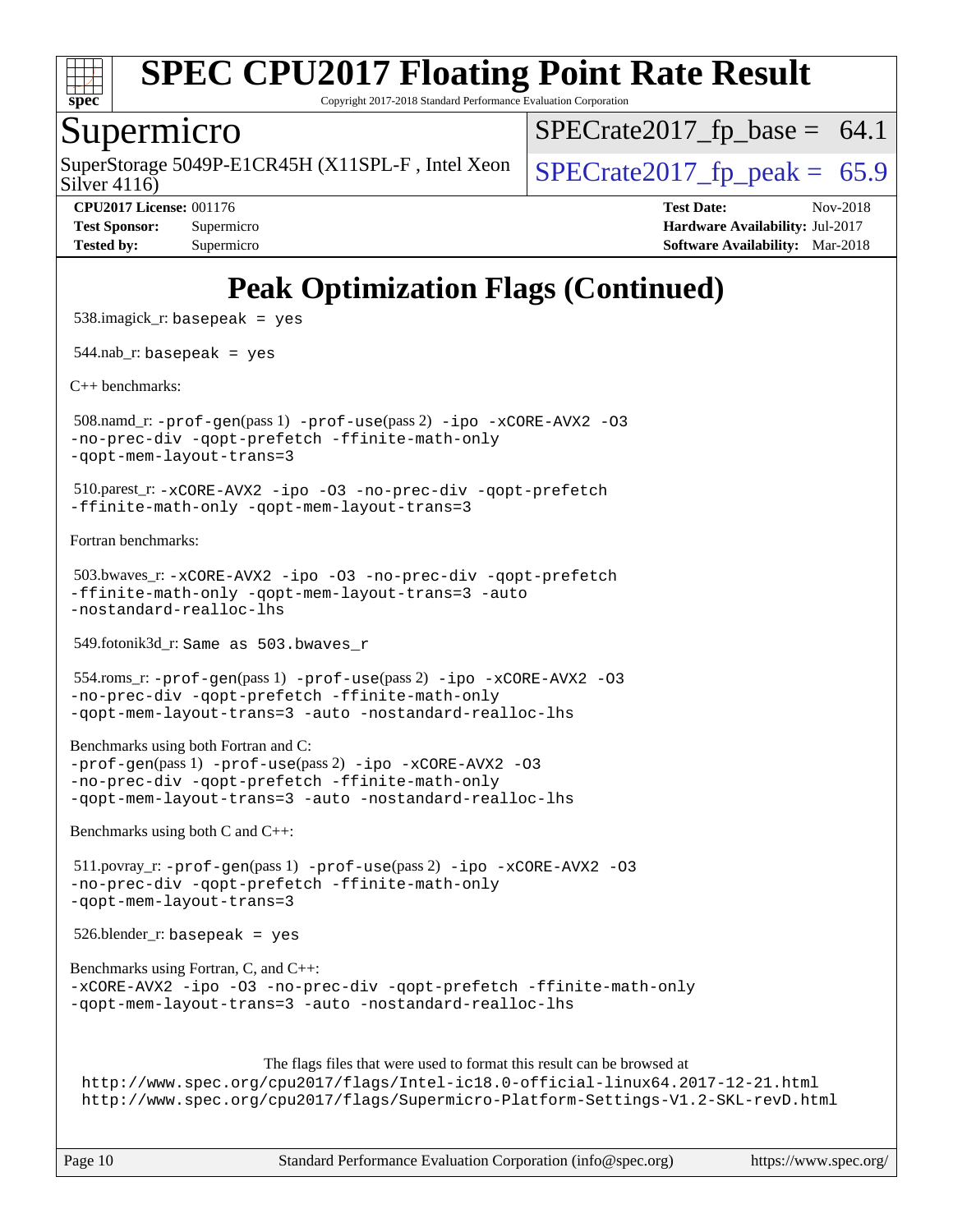

Copyright 2017-2018 Standard Performance Evaluation Corporation

## Supermicro

Silver 4116) SuperStorage 5049P-E1CR45H (X11SPL-F, Intel Xeon  $\big|$  SPECrate2017 fp peak = 65.9

 $SPECTate2017_fp\_base = 64.1$ 

**[CPU2017 License:](http://www.spec.org/auto/cpu2017/Docs/result-fields.html#CPU2017License)** 001176 **[Test Date:](http://www.spec.org/auto/cpu2017/Docs/result-fields.html#TestDate)** Nov-2018 **[Test Sponsor:](http://www.spec.org/auto/cpu2017/Docs/result-fields.html#TestSponsor)** Supermicro **[Hardware Availability:](http://www.spec.org/auto/cpu2017/Docs/result-fields.html#HardwareAvailability)** Jul-2017 **[Tested by:](http://www.spec.org/auto/cpu2017/Docs/result-fields.html#Testedby)** Supermicro **Supermicro [Software Availability:](http://www.spec.org/auto/cpu2017/Docs/result-fields.html#SoftwareAvailability)** Mar-2018

## **[Peak Optimization Flags \(Continued\)](http://www.spec.org/auto/cpu2017/Docs/result-fields.html#PeakOptimizationFlags)**

 538.imagick\_r: basepeak = yes  $544$ .nab\_r: basepeak = yes [C++ benchmarks:](http://www.spec.org/auto/cpu2017/Docs/result-fields.html#CXXbenchmarks) 508.namd\_r: [-prof-gen](http://www.spec.org/cpu2017/results/res2018q4/cpu2017-20181112-09664.flags.html#user_peakPASS1_CXXFLAGSPASS1_LDFLAGS508_namd_r_prof_gen_5aa4926d6013ddb2a31985c654b3eb18169fc0c6952a63635c234f711e6e63dd76e94ad52365559451ec499a2cdb89e4dc58ba4c67ef54ca681ffbe1461d6b36)(pass 1) [-prof-use](http://www.spec.org/cpu2017/results/res2018q4/cpu2017-20181112-09664.flags.html#user_peakPASS2_CXXFLAGSPASS2_LDFLAGS508_namd_r_prof_use_1a21ceae95f36a2b53c25747139a6c16ca95bd9def2a207b4f0849963b97e94f5260e30a0c64f4bb623698870e679ca08317ef8150905d41bd88c6f78df73f19)(pass 2) [-ipo](http://www.spec.org/cpu2017/results/res2018q4/cpu2017-20181112-09664.flags.html#user_peakPASS1_CXXOPTIMIZEPASS2_CXXOPTIMIZE508_namd_r_f-ipo) [-xCORE-AVX2](http://www.spec.org/cpu2017/results/res2018q4/cpu2017-20181112-09664.flags.html#user_peakPASS2_CXXOPTIMIZE508_namd_r_f-xCORE-AVX2) [-O3](http://www.spec.org/cpu2017/results/res2018q4/cpu2017-20181112-09664.flags.html#user_peakPASS1_CXXOPTIMIZEPASS2_CXXOPTIMIZE508_namd_r_f-O3) [-no-prec-div](http://www.spec.org/cpu2017/results/res2018q4/cpu2017-20181112-09664.flags.html#user_peakPASS1_CXXOPTIMIZEPASS2_CXXOPTIMIZE508_namd_r_f-no-prec-div) [-qopt-prefetch](http://www.spec.org/cpu2017/results/res2018q4/cpu2017-20181112-09664.flags.html#user_peakPASS1_CXXOPTIMIZEPASS2_CXXOPTIMIZE508_namd_r_f-qopt-prefetch) [-ffinite-math-only](http://www.spec.org/cpu2017/results/res2018q4/cpu2017-20181112-09664.flags.html#user_peakPASS1_CXXOPTIMIZEPASS2_CXXOPTIMIZE508_namd_r_f_finite_math_only_cb91587bd2077682c4b38af759c288ed7c732db004271a9512da14a4f8007909a5f1427ecbf1a0fb78ff2a814402c6114ac565ca162485bbcae155b5e4258871) [-qopt-mem-layout-trans=3](http://www.spec.org/cpu2017/results/res2018q4/cpu2017-20181112-09664.flags.html#user_peakPASS1_CXXOPTIMIZEPASS2_CXXOPTIMIZE508_namd_r_f-qopt-mem-layout-trans_de80db37974c74b1f0e20d883f0b675c88c3b01e9d123adea9b28688d64333345fb62bc4a798493513fdb68f60282f9a726aa07f478b2f7113531aecce732043) 510.parest\_r: [-xCORE-AVX2](http://www.spec.org/cpu2017/results/res2018q4/cpu2017-20181112-09664.flags.html#user_peakCXXOPTIMIZE510_parest_r_f-xCORE-AVX2) [-ipo](http://www.spec.org/cpu2017/results/res2018q4/cpu2017-20181112-09664.flags.html#user_peakCXXOPTIMIZE510_parest_r_f-ipo) [-O3](http://www.spec.org/cpu2017/results/res2018q4/cpu2017-20181112-09664.flags.html#user_peakCXXOPTIMIZE510_parest_r_f-O3) [-no-prec-div](http://www.spec.org/cpu2017/results/res2018q4/cpu2017-20181112-09664.flags.html#user_peakCXXOPTIMIZE510_parest_r_f-no-prec-div) [-qopt-prefetch](http://www.spec.org/cpu2017/results/res2018q4/cpu2017-20181112-09664.flags.html#user_peakCXXOPTIMIZE510_parest_r_f-qopt-prefetch) [-ffinite-math-only](http://www.spec.org/cpu2017/results/res2018q4/cpu2017-20181112-09664.flags.html#user_peakCXXOPTIMIZE510_parest_r_f_finite_math_only_cb91587bd2077682c4b38af759c288ed7c732db004271a9512da14a4f8007909a5f1427ecbf1a0fb78ff2a814402c6114ac565ca162485bbcae155b5e4258871) [-qopt-mem-layout-trans=3](http://www.spec.org/cpu2017/results/res2018q4/cpu2017-20181112-09664.flags.html#user_peakCXXOPTIMIZE510_parest_r_f-qopt-mem-layout-trans_de80db37974c74b1f0e20d883f0b675c88c3b01e9d123adea9b28688d64333345fb62bc4a798493513fdb68f60282f9a726aa07f478b2f7113531aecce732043) [Fortran benchmarks](http://www.spec.org/auto/cpu2017/Docs/result-fields.html#Fortranbenchmarks): 503.bwaves\_r: [-xCORE-AVX2](http://www.spec.org/cpu2017/results/res2018q4/cpu2017-20181112-09664.flags.html#user_peakFOPTIMIZE503_bwaves_r_f-xCORE-AVX2) [-ipo](http://www.spec.org/cpu2017/results/res2018q4/cpu2017-20181112-09664.flags.html#user_peakFOPTIMIZE503_bwaves_r_f-ipo) [-O3](http://www.spec.org/cpu2017/results/res2018q4/cpu2017-20181112-09664.flags.html#user_peakFOPTIMIZE503_bwaves_r_f-O3) [-no-prec-div](http://www.spec.org/cpu2017/results/res2018q4/cpu2017-20181112-09664.flags.html#user_peakFOPTIMIZE503_bwaves_r_f-no-prec-div) [-qopt-prefetch](http://www.spec.org/cpu2017/results/res2018q4/cpu2017-20181112-09664.flags.html#user_peakFOPTIMIZE503_bwaves_r_f-qopt-prefetch) [-ffinite-math-only](http://www.spec.org/cpu2017/results/res2018q4/cpu2017-20181112-09664.flags.html#user_peakFOPTIMIZE503_bwaves_r_f_finite_math_only_cb91587bd2077682c4b38af759c288ed7c732db004271a9512da14a4f8007909a5f1427ecbf1a0fb78ff2a814402c6114ac565ca162485bbcae155b5e4258871) [-qopt-mem-layout-trans=3](http://www.spec.org/cpu2017/results/res2018q4/cpu2017-20181112-09664.flags.html#user_peakFOPTIMIZE503_bwaves_r_f-qopt-mem-layout-trans_de80db37974c74b1f0e20d883f0b675c88c3b01e9d123adea9b28688d64333345fb62bc4a798493513fdb68f60282f9a726aa07f478b2f7113531aecce732043) [-auto](http://www.spec.org/cpu2017/results/res2018q4/cpu2017-20181112-09664.flags.html#user_peakFOPTIMIZE503_bwaves_r_f-auto) [-nostandard-realloc-lhs](http://www.spec.org/cpu2017/results/res2018q4/cpu2017-20181112-09664.flags.html#user_peakEXTRA_FOPTIMIZE503_bwaves_r_f_2003_std_realloc_82b4557e90729c0f113870c07e44d33d6f5a304b4f63d4c15d2d0f1fab99f5daaed73bdb9275d9ae411527f28b936061aa8b9c8f2d63842963b95c9dd6426b8a) 549.fotonik3d\_r: Same as 503.bwaves\_r 554.roms\_r: [-prof-gen](http://www.spec.org/cpu2017/results/res2018q4/cpu2017-20181112-09664.flags.html#user_peakPASS1_FFLAGSPASS1_LDFLAGS554_roms_r_prof_gen_5aa4926d6013ddb2a31985c654b3eb18169fc0c6952a63635c234f711e6e63dd76e94ad52365559451ec499a2cdb89e4dc58ba4c67ef54ca681ffbe1461d6b36)(pass 1) [-prof-use](http://www.spec.org/cpu2017/results/res2018q4/cpu2017-20181112-09664.flags.html#user_peakPASS2_FFLAGSPASS2_LDFLAGS554_roms_r_prof_use_1a21ceae95f36a2b53c25747139a6c16ca95bd9def2a207b4f0849963b97e94f5260e30a0c64f4bb623698870e679ca08317ef8150905d41bd88c6f78df73f19)(pass 2) [-ipo](http://www.spec.org/cpu2017/results/res2018q4/cpu2017-20181112-09664.flags.html#user_peakPASS1_FOPTIMIZEPASS2_FOPTIMIZE554_roms_r_f-ipo) [-xCORE-AVX2](http://www.spec.org/cpu2017/results/res2018q4/cpu2017-20181112-09664.flags.html#user_peakPASS2_FOPTIMIZE554_roms_r_f-xCORE-AVX2) [-O3](http://www.spec.org/cpu2017/results/res2018q4/cpu2017-20181112-09664.flags.html#user_peakPASS1_FOPTIMIZEPASS2_FOPTIMIZE554_roms_r_f-O3) [-no-prec-div](http://www.spec.org/cpu2017/results/res2018q4/cpu2017-20181112-09664.flags.html#user_peakPASS1_FOPTIMIZEPASS2_FOPTIMIZE554_roms_r_f-no-prec-div) [-qopt-prefetch](http://www.spec.org/cpu2017/results/res2018q4/cpu2017-20181112-09664.flags.html#user_peakPASS1_FOPTIMIZEPASS2_FOPTIMIZE554_roms_r_f-qopt-prefetch) [-ffinite-math-only](http://www.spec.org/cpu2017/results/res2018q4/cpu2017-20181112-09664.flags.html#user_peakPASS1_FOPTIMIZEPASS2_FOPTIMIZE554_roms_r_f_finite_math_only_cb91587bd2077682c4b38af759c288ed7c732db004271a9512da14a4f8007909a5f1427ecbf1a0fb78ff2a814402c6114ac565ca162485bbcae155b5e4258871) [-qopt-mem-layout-trans=3](http://www.spec.org/cpu2017/results/res2018q4/cpu2017-20181112-09664.flags.html#user_peakPASS1_FOPTIMIZEPASS2_FOPTIMIZE554_roms_r_f-qopt-mem-layout-trans_de80db37974c74b1f0e20d883f0b675c88c3b01e9d123adea9b28688d64333345fb62bc4a798493513fdb68f60282f9a726aa07f478b2f7113531aecce732043) [-auto](http://www.spec.org/cpu2017/results/res2018q4/cpu2017-20181112-09664.flags.html#user_peakPASS2_FOPTIMIZE554_roms_r_f-auto) [-nostandard-realloc-lhs](http://www.spec.org/cpu2017/results/res2018q4/cpu2017-20181112-09664.flags.html#user_peakEXTRA_FOPTIMIZE554_roms_r_f_2003_std_realloc_82b4557e90729c0f113870c07e44d33d6f5a304b4f63d4c15d2d0f1fab99f5daaed73bdb9275d9ae411527f28b936061aa8b9c8f2d63842963b95c9dd6426b8a) [Benchmarks using both Fortran and C](http://www.spec.org/auto/cpu2017/Docs/result-fields.html#BenchmarksusingbothFortranandC): [-prof-gen](http://www.spec.org/cpu2017/results/res2018q4/cpu2017-20181112-09664.flags.html#user_CC_FCpeak_prof_gen_5aa4926d6013ddb2a31985c654b3eb18169fc0c6952a63635c234f711e6e63dd76e94ad52365559451ec499a2cdb89e4dc58ba4c67ef54ca681ffbe1461d6b36)(pass 1) [-prof-use](http://www.spec.org/cpu2017/results/res2018q4/cpu2017-20181112-09664.flags.html#user_CC_FCpeak_prof_use_1a21ceae95f36a2b53c25747139a6c16ca95bd9def2a207b4f0849963b97e94f5260e30a0c64f4bb623698870e679ca08317ef8150905d41bd88c6f78df73f19)(pass 2) [-ipo](http://www.spec.org/cpu2017/results/res2018q4/cpu2017-20181112-09664.flags.html#user_CC_FCpeak_f-ipo) [-xCORE-AVX2](http://www.spec.org/cpu2017/results/res2018q4/cpu2017-20181112-09664.flags.html#user_CC_FCpeak_f-xCORE-AVX2) [-O3](http://www.spec.org/cpu2017/results/res2018q4/cpu2017-20181112-09664.flags.html#user_CC_FCpeak_f-O3) [-no-prec-div](http://www.spec.org/cpu2017/results/res2018q4/cpu2017-20181112-09664.flags.html#user_CC_FCpeak_f-no-prec-div) [-qopt-prefetch](http://www.spec.org/cpu2017/results/res2018q4/cpu2017-20181112-09664.flags.html#user_CC_FCpeak_f-qopt-prefetch) [-ffinite-math-only](http://www.spec.org/cpu2017/results/res2018q4/cpu2017-20181112-09664.flags.html#user_CC_FCpeak_f_finite_math_only_cb91587bd2077682c4b38af759c288ed7c732db004271a9512da14a4f8007909a5f1427ecbf1a0fb78ff2a814402c6114ac565ca162485bbcae155b5e4258871) [-qopt-mem-layout-trans=3](http://www.spec.org/cpu2017/results/res2018q4/cpu2017-20181112-09664.flags.html#user_CC_FCpeak_f-qopt-mem-layout-trans_de80db37974c74b1f0e20d883f0b675c88c3b01e9d123adea9b28688d64333345fb62bc4a798493513fdb68f60282f9a726aa07f478b2f7113531aecce732043) [-auto](http://www.spec.org/cpu2017/results/res2018q4/cpu2017-20181112-09664.flags.html#user_CC_FCpeak_f-auto) [-nostandard-realloc-lhs](http://www.spec.org/cpu2017/results/res2018q4/cpu2017-20181112-09664.flags.html#user_CC_FCpeak_f_2003_std_realloc_82b4557e90729c0f113870c07e44d33d6f5a304b4f63d4c15d2d0f1fab99f5daaed73bdb9275d9ae411527f28b936061aa8b9c8f2d63842963b95c9dd6426b8a) [Benchmarks using both C and C++](http://www.spec.org/auto/cpu2017/Docs/result-fields.html#BenchmarksusingbothCandCXX): 511.povray\_r:  $-prof-qen(pass 1) -prof-use(pass 2) -ipo -xCORE-AVX2 -O3$  $-prof-qen(pass 1) -prof-use(pass 2) -ipo -xCORE-AVX2 -O3$  $-prof-qen(pass 1) -prof-use(pass 2) -ipo -xCORE-AVX2 -O3$  $-prof-qen(pass 1) -prof-use(pass 2) -ipo -xCORE-AVX2 -O3$  $-prof-qen(pass 1) -prof-use(pass 2) -ipo -xCORE-AVX2 -O3$  $-prof-qen(pass 1) -prof-use(pass 2) -ipo -xCORE-AVX2 -O3$  $-prof-qen(pass 1) -prof-use(pass 2) -ipo -xCORE-AVX2 -O3$  $-prof-qen(pass 1) -prof-use(pass 2) -ipo -xCORE-AVX2 -O3$ [-no-prec-div](http://www.spec.org/cpu2017/results/res2018q4/cpu2017-20181112-09664.flags.html#user_peakPASS1_COPTIMIZEPASS1_CXXOPTIMIZEPASS2_COPTIMIZEPASS2_CXXOPTIMIZE511_povray_r_f-no-prec-div) [-qopt-prefetch](http://www.spec.org/cpu2017/results/res2018q4/cpu2017-20181112-09664.flags.html#user_peakPASS1_COPTIMIZEPASS1_CXXOPTIMIZEPASS2_COPTIMIZEPASS2_CXXOPTIMIZE511_povray_r_f-qopt-prefetch) [-ffinite-math-only](http://www.spec.org/cpu2017/results/res2018q4/cpu2017-20181112-09664.flags.html#user_peakPASS1_COPTIMIZEPASS1_CXXOPTIMIZEPASS2_COPTIMIZEPASS2_CXXOPTIMIZE511_povray_r_f_finite_math_only_cb91587bd2077682c4b38af759c288ed7c732db004271a9512da14a4f8007909a5f1427ecbf1a0fb78ff2a814402c6114ac565ca162485bbcae155b5e4258871) [-qopt-mem-layout-trans=3](http://www.spec.org/cpu2017/results/res2018q4/cpu2017-20181112-09664.flags.html#user_peakPASS1_COPTIMIZEPASS1_CXXOPTIMIZEPASS2_COPTIMIZEPASS2_CXXOPTIMIZE511_povray_r_f-qopt-mem-layout-trans_de80db37974c74b1f0e20d883f0b675c88c3b01e9d123adea9b28688d64333345fb62bc4a798493513fdb68f60282f9a726aa07f478b2f7113531aecce732043)  $526.$ blender\_r: basepeak = yes [Benchmarks using Fortran, C, and C++:](http://www.spec.org/auto/cpu2017/Docs/result-fields.html#BenchmarksusingFortranCandCXX) [-xCORE-AVX2](http://www.spec.org/cpu2017/results/res2018q4/cpu2017-20181112-09664.flags.html#user_CC_CXX_FCpeak_f-xCORE-AVX2) [-ipo](http://www.spec.org/cpu2017/results/res2018q4/cpu2017-20181112-09664.flags.html#user_CC_CXX_FCpeak_f-ipo) [-O3](http://www.spec.org/cpu2017/results/res2018q4/cpu2017-20181112-09664.flags.html#user_CC_CXX_FCpeak_f-O3) [-no-prec-div](http://www.spec.org/cpu2017/results/res2018q4/cpu2017-20181112-09664.flags.html#user_CC_CXX_FCpeak_f-no-prec-div) [-qopt-prefetch](http://www.spec.org/cpu2017/results/res2018q4/cpu2017-20181112-09664.flags.html#user_CC_CXX_FCpeak_f-qopt-prefetch) [-ffinite-math-only](http://www.spec.org/cpu2017/results/res2018q4/cpu2017-20181112-09664.flags.html#user_CC_CXX_FCpeak_f_finite_math_only_cb91587bd2077682c4b38af759c288ed7c732db004271a9512da14a4f8007909a5f1427ecbf1a0fb78ff2a814402c6114ac565ca162485bbcae155b5e4258871) [-qopt-mem-layout-trans=3](http://www.spec.org/cpu2017/results/res2018q4/cpu2017-20181112-09664.flags.html#user_CC_CXX_FCpeak_f-qopt-mem-layout-trans_de80db37974c74b1f0e20d883f0b675c88c3b01e9d123adea9b28688d64333345fb62bc4a798493513fdb68f60282f9a726aa07f478b2f7113531aecce732043) [-auto](http://www.spec.org/cpu2017/results/res2018q4/cpu2017-20181112-09664.flags.html#user_CC_CXX_FCpeak_f-auto) [-nostandard-realloc-lhs](http://www.spec.org/cpu2017/results/res2018q4/cpu2017-20181112-09664.flags.html#user_CC_CXX_FCpeak_f_2003_std_realloc_82b4557e90729c0f113870c07e44d33d6f5a304b4f63d4c15d2d0f1fab99f5daaed73bdb9275d9ae411527f28b936061aa8b9c8f2d63842963b95c9dd6426b8a) The flags files that were used to format this result can be browsed at <http://www.spec.org/cpu2017/flags/Intel-ic18.0-official-linux64.2017-12-21.html> <http://www.spec.org/cpu2017/flags/Supermicro-Platform-Settings-V1.2-SKL-revD.html>